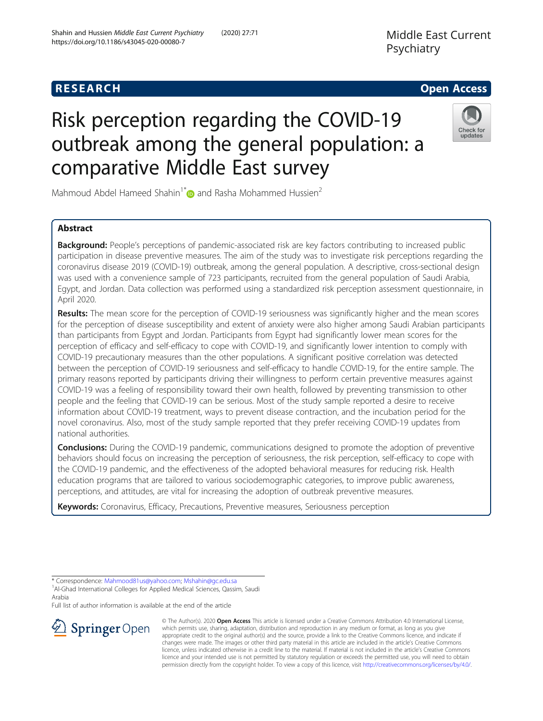# **RESEARCH CHE Open Access**

# Risk perception regarding the COVID-19 outbreak among the general population: a comparative Middle East survey

Mahmoud Abdel Hameed Shahin<sup>1\*</sup> and Rasha Mohammed Hussien<sup>2</sup>

# Abstract

Background: People's perceptions of pandemic-associated risk are key factors contributing to increased public participation in disease preventive measures. The aim of the study was to investigate risk perceptions regarding the coronavirus disease 2019 (COVID-19) outbreak, among the general population. A descriptive, cross-sectional design was used with a convenience sample of 723 participants, recruited from the general population of Saudi Arabia, Egypt, and Jordan. Data collection was performed using a standardized risk perception assessment questionnaire, in April 2020.

Results: The mean score for the perception of COVID-19 seriousness was significantly higher and the mean scores for the perception of disease susceptibility and extent of anxiety were also higher among Saudi Arabian participants than participants from Egypt and Jordan. Participants from Egypt had significantly lower mean scores for the perception of efficacy and self-efficacy to cope with COVID-19, and significantly lower intention to comply with COVID-19 precautionary measures than the other populations. A significant positive correlation was detected between the perception of COVID-19 seriousness and self-efficacy to handle COVID-19, for the entire sample. The primary reasons reported by participants driving their willingness to perform certain preventive measures against COVID-19 was a feeling of responsibility toward their own health, followed by preventing transmission to other people and the feeling that COVID-19 can be serious. Most of the study sample reported a desire to receive information about COVID-19 treatment, ways to prevent disease contraction, and the incubation period for the novel coronavirus. Also, most of the study sample reported that they prefer receiving COVID-19 updates from national authorities.

**Conclusions:** During the COVID-19 pandemic, communications designed to promote the adoption of preventive behaviors should focus on increasing the perception of seriousness, the risk perception, self-efficacy to cope with the COVID-19 pandemic, and the effectiveness of the adopted behavioral measures for reducing risk. Health education programs that are tailored to various sociodemographic categories, to improve public awareness, perceptions, and attitudes, are vital for increasing the adoption of outbreak preventive measures.

Keywords: Coronavirus, Efficacy, Precautions, Preventive measures, Seriousness perception

© The Author(s). 2020 Open Access This article is licensed under a Creative Commons Attribution 4.0 International License,  $\mathcal{L}$  Springer Open which permits use, sharing, adaptation, distribution and reproduction in any medium or format, as long as you give appropriate credit to the original author(s) and the source, provide a link to the Creative Commons licence, and indicate if changes were made. The images or other third party material in this article are included in the article's Creative Commons licence, unless indicated otherwise in a credit line to the material. If material is not included in the article's Creative Commons licence and your intended use is not permitted by statutory regulation or exceeds the permitted use, you will need to obtain permission directly from the copyright holder. To view a copy of this licence, visit <http://creativecommons.org/licenses/by/4.0/>.

\* Correspondence: [Mahmood81us@yahoo.com](mailto:Mahmood81us@yahoo.com); [Mshahin@gc.edu.sa](mailto:Mshahin@gc.edu.sa) <sup>1</sup> <sup>1</sup> Al-Ghad International Colleges for Applied Medical Sciences, Qassim, Saudi Arabia

Full list of author information is available at the end of the article





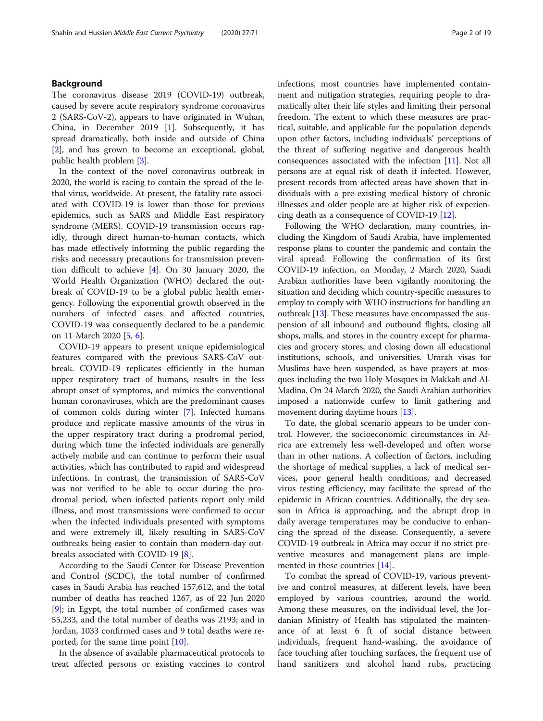# Background

The coronavirus disease 2019 (COVID-19) outbreak, caused by severe acute respiratory syndrome coronavirus 2 (SARS-CoV-2), appears to have originated in Wuhan, China, in December 2019 [[1\]](#page-16-0). Subsequently, it has spread dramatically, both inside and outside of China [[2\]](#page-16-0), and has grown to become an exceptional, global, public health problem [\[3](#page-16-0)].

In the context of the novel coronavirus outbreak in 2020, the world is racing to contain the spread of the lethal virus, worldwide. At present, the fatality rate associated with COVID-19 is lower than those for previous epidemics, such as SARS and Middle East respiratory syndrome (MERS). COVID-19 transmission occurs rapidly, through direct human-to-human contacts, which has made effectively informing the public regarding the risks and necessary precautions for transmission prevention difficult to achieve [\[4](#page-16-0)]. On 30 January 2020, the World Health Organization (WHO) declared the outbreak of COVID-19 to be a global public health emergency. Following the exponential growth observed in the numbers of infected cases and affected countries, COVID-19 was consequently declared to be a pandemic on 11 March 2020 [[5](#page-16-0), [6](#page-16-0)].

COVID-19 appears to present unique epidemiological features compared with the previous SARS-CoV outbreak. COVID-19 replicates efficiently in the human upper respiratory tract of humans, results in the less abrupt onset of symptoms, and mimics the conventional human coronaviruses, which are the predominant causes of common colds during winter [\[7](#page-16-0)]. Infected humans produce and replicate massive amounts of the virus in the upper respiratory tract during a prodromal period, during which time the infected individuals are generally actively mobile and can continue to perform their usual activities, which has contributed to rapid and widespread infections. In contrast, the transmission of SARS-CoV was not verified to be able to occur during the prodromal period, when infected patients report only mild illness, and most transmissions were confirmed to occur when the infected individuals presented with symptoms and were extremely ill, likely resulting in SARS-CoV outbreaks being easier to contain than modern-day outbreaks associated with COVID-19 [[8\]](#page-16-0).

According to the Saudi Center for Disease Prevention and Control (SCDC), the total number of confirmed cases in Saudi Arabia has reached 157,612, and the total number of deaths has reached 1267, as of 22 Jun 2020 [[9\]](#page-16-0); in Egypt, the total number of confirmed cases was 55,233, and the total number of deaths was 2193; and in Jordan, 1033 confirmed cases and 9 total deaths were reported, for the same time point [[10](#page-16-0)].

In the absence of available pharmaceutical protocols to treat affected persons or existing vaccines to control infections, most countries have implemented containment and mitigation strategies, requiring people to dramatically alter their life styles and limiting their personal freedom. The extent to which these measures are practical, suitable, and applicable for the population depends upon other factors, including individuals' perceptions of the threat of suffering negative and dangerous health consequences associated with the infection [[11](#page-16-0)]. Not all persons are at equal risk of death if infected. However, present records from affected areas have shown that individuals with a pre-existing medical history of chronic illnesses and older people are at higher risk of experiencing death as a consequence of COVID-19 [[12\]](#page-16-0).

Following the WHO declaration, many countries, including the Kingdom of Saudi Arabia, have implemented response plans to counter the pandemic and contain the viral spread. Following the confirmation of its first COVID-19 infection, on Monday, 2 March 2020, Saudi Arabian authorities have been vigilantly monitoring the situation and deciding which country-specific measures to employ to comply with WHO instructions for handling an outbreak [[13\]](#page-16-0). These measures have encompassed the suspension of all inbound and outbound flights, closing all shops, malls, and stores in the country except for pharmacies and grocery stores, and closing down all educational institutions, schools, and universities. Umrah visas for Muslims have been suspended, as have prayers at mosques including the two Holy Mosques in Makkah and Al-Madina. On 24 March 2020, the Saudi Arabian authorities imposed a nationwide curfew to limit gathering and movement during daytime hours [[13](#page-16-0)].

To date, the global scenario appears to be under control. However, the socioeconomic circumstances in Africa are extremely less well-developed and often worse than in other nations. A collection of factors, including the shortage of medical supplies, a lack of medical services, poor general health conditions, and decreased virus testing efficiency, may facilitate the spread of the epidemic in African countries. Additionally, the dry season in Africa is approaching, and the abrupt drop in daily average temperatures may be conducive to enhancing the spread of the disease. Consequently, a severe COVID-19 outbreak in Africa may occur if no strict preventive measures and management plans are implemented in these countries [\[14](#page-16-0)].

To combat the spread of COVID-19, various preventive and control measures, at different levels, have been employed by various countries, around the world. Among these measures, on the individual level, the Jordanian Ministry of Health has stipulated the maintenance of at least 6 ft of social distance between individuals, frequent hand-washing, the avoidance of face touching after touching surfaces, the frequent use of hand sanitizers and alcohol hand rubs, practicing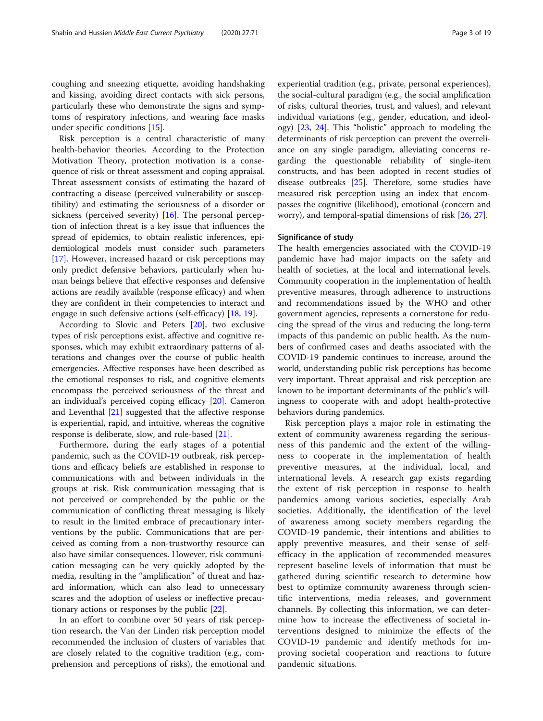coughing and sneezing etiquette, avoiding handshaking and kissing, avoiding direct contacts with sick persons, particularly these who demonstrate the signs and symptoms of respiratory infections, and wearing face masks under specific conditions [[15](#page-16-0)].

Risk perception is a central characteristic of many health-behavior theories. According to the Protection Motivation Theory, protection motivation is a consequence of risk or threat assessment and coping appraisal. Threat assessment consists of estimating the hazard of contracting a disease (perceived vulnerability or susceptibility) and estimating the seriousness of a disorder or sickness (perceived severity) [\[16](#page-17-0)]. The personal perception of infection threat is a key issue that influences the spread of epidemics, to obtain realistic inferences, epidemiological models must consider such parameters [[17\]](#page-17-0). However, increased hazard or risk perceptions may only predict defensive behaviors, particularly when human beings believe that effective responses and defensive actions are readily available (response efficacy) and when they are confident in their competencies to interact and engage in such defensive actions (self-efficacy) [\[18](#page-17-0), [19](#page-17-0)].

According to Slovic and Peters [[20\]](#page-17-0), two exclusive types of risk perceptions exist, affective and cognitive responses, which may exhibit extraordinary patterns of alterations and changes over the course of public health emergencies. Affective responses have been described as the emotional responses to risk, and cognitive elements encompass the perceived seriousness of the threat and an individual's perceived coping efficacy [\[20](#page-17-0)]. Cameron and Leventhal [[21\]](#page-17-0) suggested that the affective response is experiential, rapid, and intuitive, whereas the cognitive response is deliberate, slow, and rule-based [[21](#page-17-0)].

Furthermore, during the early stages of a potential pandemic, such as the COVID-19 outbreak, risk perceptions and efficacy beliefs are established in response to communications with and between individuals in the groups at risk. Risk communication messaging that is not perceived or comprehended by the public or the communication of conflicting threat messaging is likely to result in the limited embrace of precautionary interventions by the public. Communications that are perceived as coming from a non-trustworthy resource can also have similar consequences. However, risk communication messaging can be very quickly adopted by the media, resulting in the "amplification" of threat and hazard information, which can also lead to unnecessary scares and the adoption of useless or ineffective precautionary actions or responses by the public [[22\]](#page-17-0).

In an effort to combine over 50 years of risk perception research, the Van der Linden risk perception model recommended the inclusion of clusters of variables that are closely related to the cognitive tradition (e.g., comprehension and perceptions of risks), the emotional and

experiential tradition (e.g., private, personal experiences), the social-cultural paradigm (e.g., the social amplification of risks, cultural theories, trust, and values), and relevant individual variations (e.g., gender, education, and ideology) [[23](#page-17-0), [24\]](#page-17-0). This "holistic" approach to modeling the determinants of risk perception can prevent the overreliance on any single paradigm, alleviating concerns regarding the questionable reliability of single-item constructs, and has been adopted in recent studies of disease outbreaks [\[25](#page-17-0)]. Therefore, some studies have measured risk perception using an index that encompasses the cognitive (likelihood), emotional (concern and worry), and temporal-spatial dimensions of risk [\[26](#page-17-0), [27](#page-17-0)].

#### Significance of study

The health emergencies associated with the COVID-19 pandemic have had major impacts on the safety and health of societies, at the local and international levels. Community cooperation in the implementation of health preventive measures, through adherence to instructions and recommendations issued by the WHO and other government agencies, represents a cornerstone for reducing the spread of the virus and reducing the long-term impacts of this pandemic on public health. As the numbers of confirmed cases and deaths associated with the COVID-19 pandemic continues to increase, around the world, understanding public risk perceptions has become very important. Threat appraisal and risk perception are known to be important determinants of the public's willingness to cooperate with and adopt health-protective behaviors during pandemics.

Risk perception plays a major role in estimating the extent of community awareness regarding the seriousness of this pandemic and the extent of the willingness to cooperate in the implementation of health preventive measures, at the individual, local, and international levels. A research gap exists regarding the extent of risk perception in response to health pandemics among various societies, especially Arab societies. Additionally, the identification of the level of awareness among society members regarding the COVID-19 pandemic, their intentions and abilities to apply preventive measures, and their sense of selfefficacy in the application of recommended measures represent baseline levels of information that must be gathered during scientific research to determine how best to optimize community awareness through scientific interventions, media releases, and government channels. By collecting this information, we can determine how to increase the effectiveness of societal interventions designed to minimize the effects of the COVID-19 pandemic and identify methods for improving societal cooperation and reactions to future pandemic situations.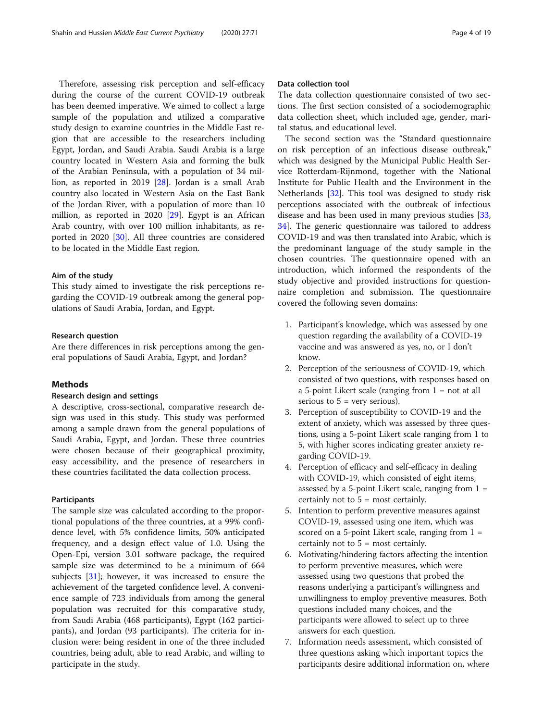Therefore, assessing risk perception and self-efficacy during the course of the current COVID-19 outbreak has been deemed imperative. We aimed to collect a large sample of the population and utilized a comparative study design to examine countries in the Middle East region that are accessible to the researchers including Egypt, Jordan, and Saudi Arabia. Saudi Arabia is a large country located in Western Asia and forming the bulk of the Arabian Peninsula, with a population of 34 million, as reported in 2019 [\[28](#page-17-0)]. Jordan is a small Arab country also located in Western Asia on the East Bank of the Jordan River, with a population of more than 10 million, as reported in 2020 [\[29](#page-17-0)]. Egypt is an African Arab country, with over 100 million inhabitants, as reported in 2020 [[30\]](#page-17-0). All three countries are considered to be located in the Middle East region.

#### Aim of the study

This study aimed to investigate the risk perceptions regarding the COVID-19 outbreak among the general populations of Saudi Arabia, Jordan, and Egypt.

#### Research question

Are there differences in risk perceptions among the general populations of Saudi Arabia, Egypt, and Jordan?

# Methods

# Research design and settings

A descriptive, cross-sectional, comparative research design was used in this study. This study was performed among a sample drawn from the general populations of Saudi Arabia, Egypt, and Jordan. These three countries were chosen because of their geographical proximity, easy accessibility, and the presence of researchers in these countries facilitated the data collection process.

# Participants

The sample size was calculated according to the proportional populations of the three countries, at a 99% confidence level, with 5% confidence limits, 50% anticipated frequency, and a design effect value of 1.0. Using the Open-Epi, version 3.01 software package, the required sample size was determined to be a minimum of 664 subjects [\[31](#page-17-0)]; however, it was increased to ensure the achievement of the targeted confidence level. A convenience sample of 723 individuals from among the general population was recruited for this comparative study, from Saudi Arabia (468 participants), Egypt (162 participants), and Jordan (93 participants). The criteria for inclusion were: being resident in one of the three included countries, being adult, able to read Arabic, and willing to participate in the study.

# Data collection tool

The data collection questionnaire consisted of two sections. The first section consisted of a sociodemographic data collection sheet, which included age, gender, marital status, and educational level.

The second section was the "Standard questionnaire on risk perception of an infectious disease outbreak," which was designed by the Municipal Public Health Service Rotterdam-Rijnmond, together with the National Institute for Public Health and the Environment in the Netherlands [\[32\]](#page-17-0). This tool was designed to study risk perceptions associated with the outbreak of infectious disease and has been used in many previous studies [[33](#page-17-0), [34\]](#page-17-0). The generic questionnaire was tailored to address COVID-19 and was then translated into Arabic, which is the predominant language of the study sample in the chosen countries. The questionnaire opened with an introduction, which informed the respondents of the study objective and provided instructions for questionnaire completion and submission. The questionnaire covered the following seven domains:

- 1. Participant's knowledge, which was assessed by one question regarding the availability of a COVID-19 vaccine and was answered as yes, no, or I don't know.
- 2. Perception of the seriousness of COVID-19, which consisted of two questions, with responses based on a 5-point Likert scale (ranging from  $1 = not$  at all serious to  $5 = \text{very serious}$ .
- 3. Perception of susceptibility to COVID-19 and the extent of anxiety, which was assessed by three questions, using a 5-point Likert scale ranging from 1 to 5, with higher scores indicating greater anxiety regarding COVID-19.
- 4. Perception of efficacy and self-efficacy in dealing with COVID-19, which consisted of eight items, assessed by a 5-point Likert scale, ranging from  $1 =$ certainly not to  $5 =$  most certainly.
- 5. Intention to perform preventive measures against COVID-19, assessed using one item, which was scored on a 5-point Likert scale, ranging from  $1 =$ certainly not to  $5 =$  most certainly.
- 6. Motivating/hindering factors affecting the intention to perform preventive measures, which were assessed using two questions that probed the reasons underlying a participant's willingness and unwillingness to employ preventive measures. Both questions included many choices, and the participants were allowed to select up to three answers for each question.
- 7. Information needs assessment, which consisted of three questions asking which important topics the participants desire additional information on, where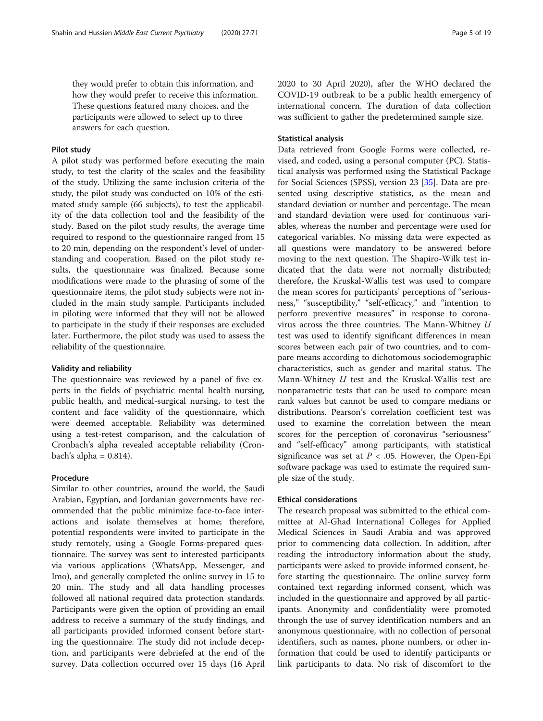they would prefer to obtain this information, and how they would prefer to receive this information. These questions featured many choices, and the participants were allowed to select up to three answers for each question.

### Pilot study

A pilot study was performed before executing the main study, to test the clarity of the scales and the feasibility of the study. Utilizing the same inclusion criteria of the study, the pilot study was conducted on 10% of the estimated study sample (66 subjects), to test the applicability of the data collection tool and the feasibility of the study. Based on the pilot study results, the average time required to respond to the questionnaire ranged from 15 to 20 min, depending on the respondent's level of understanding and cooperation. Based on the pilot study results, the questionnaire was finalized. Because some modifications were made to the phrasing of some of the questionnaire items, the pilot study subjects were not included in the main study sample. Participants included in piloting were informed that they will not be allowed to participate in the study if their responses are excluded later. Furthermore, the pilot study was used to assess the reliability of the questionnaire.

#### Validity and reliability

The questionnaire was reviewed by a panel of five experts in the fields of psychiatric mental health nursing, public health, and medical-surgical nursing, to test the content and face validity of the questionnaire, which were deemed acceptable. Reliability was determined using a test-retest comparison, and the calculation of Cronbach's alpha revealed acceptable reliability (Cronbach's alpha  $= 0.814$ ).

#### Procedure

Similar to other countries, around the world, the Saudi Arabian, Egyptian, and Jordanian governments have recommended that the public minimize face-to-face interactions and isolate themselves at home; therefore, potential respondents were invited to participate in the study remotely, using a Google Forms-prepared questionnaire. The survey was sent to interested participants via various applications (WhatsApp, Messenger, and Imo), and generally completed the online survey in 15 to 20 min. The study and all data handling processes followed all national required data protection standards. Participants were given the option of providing an email address to receive a summary of the study findings, and all participants provided informed consent before starting the questionnaire. The study did not include deception, and participants were debriefed at the end of the survey. Data collection occurred over 15 days (16 April 2020 to 30 April 2020), after the WHO declared the COVID-19 outbreak to be a public health emergency of international concern. The duration of data collection was sufficient to gather the predetermined sample size.

## Statistical analysis

Data retrieved from Google Forms were collected, revised, and coded, using a personal computer (PC). Statistical analysis was performed using the Statistical Package for Social Sciences (SPSS), version 23 [\[35](#page-17-0)]. Data are presented using descriptive statistics, as the mean and standard deviation or number and percentage. The mean and standard deviation were used for continuous variables, whereas the number and percentage were used for categorical variables. No missing data were expected as all questions were mandatory to be answered before moving to the next question. The Shapiro-Wilk test indicated that the data were not normally distributed; therefore, the Kruskal-Wallis test was used to compare the mean scores for participants' perceptions of "seriousness," "susceptibility," "self-efficacy," and "intention to perform preventive measures" in response to coronavirus across the three countries. The Mann-Whitney U test was used to identify significant differences in mean scores between each pair of two countries, and to compare means according to dichotomous sociodemographic characteristics, such as gender and marital status. The Mann-Whitney U test and the Kruskal-Wallis test are nonparametric tests that can be used to compare mean rank values but cannot be used to compare medians or distributions. Pearson's correlation coefficient test was used to examine the correlation between the mean scores for the perception of coronavirus "seriousness" and "self-efficacy" among participants, with statistical significance was set at  $P < .05$ . However, the Open-Epi software package was used to estimate the required sample size of the study.

#### Ethical considerations

The research proposal was submitted to the ethical committee at Al-Ghad International Colleges for Applied Medical Sciences in Saudi Arabia and was approved prior to commencing data collection. In addition, after reading the introductory information about the study, participants were asked to provide informed consent, before starting the questionnaire. The online survey form contained text regarding informed consent, which was included in the questionnaire and approved by all participants. Anonymity and confidentiality were promoted through the use of survey identification numbers and an anonymous questionnaire, with no collection of personal identifiers, such as names, phone numbers, or other information that could be used to identify participants or link participants to data. No risk of discomfort to the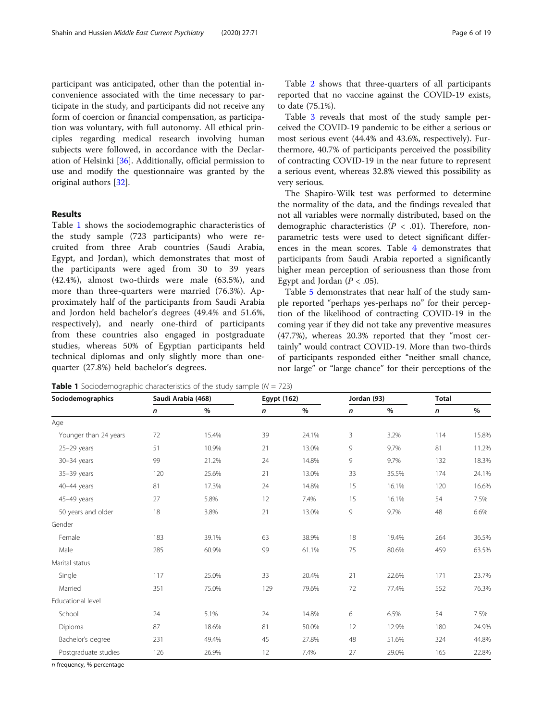participant was anticipated, other than the potential inconvenience associated with the time necessary to participate in the study, and participants did not receive any form of coercion or financial compensation, as participation was voluntary, with full autonomy. All ethical principles regarding medical research involving human subjects were followed, in accordance with the Declaration of Helsinki [\[36\]](#page-17-0). Additionally, official permission to use and modify the questionnaire was granted by the original authors [[32](#page-17-0)].

# Results

Table 1 shows the sociodemographic characteristics of the study sample (723 participants) who were recruited from three Arab countries (Saudi Arabia, Egypt, and Jordan), which demonstrates that most of the participants were aged from 30 to 39 years (42.4%), almost two-thirds were male (63.5%), and more than three-quarters were married (76.3%). Approximately half of the participants from Saudi Arabia and Jordon held bachelor's degrees (49.4% and 51.6%, respectively), and nearly one-third of participants from these countries also engaged in postgraduate studies, whereas 50% of Egyptian participants held technical diplomas and only slightly more than onequarter (27.8%) held bachelor's degrees.

Table [2](#page-6-0) shows that three-quarters of all participants reported that no vaccine against the COVID-19 exists, to date (75.1%).

Table [3](#page-6-0) reveals that most of the study sample perceived the COVID-19 pandemic to be either a serious or most serious event (44.4% and 43.6%, respectively). Furthermore, 40.7% of participants perceived the possibility of contracting COVID-19 in the near future to represent a serious event, whereas 32.8% viewed this possibility as very serious.

The Shapiro-Wilk test was performed to determine the normality of the data, and the findings revealed that not all variables were normally distributed, based on the demographic characteristics ( $P < .01$ ). Therefore, nonparametric tests were used to detect significant differences in the mean scores. Table [4](#page-7-0) demonstrates that participants from Saudi Arabia reported a significantly higher mean perception of seriousness than those from Egypt and Jordan ( $P < .05$ ).

Table [5](#page-7-0) demonstrates that near half of the study sample reported "perhaps yes-perhaps no" for their perception of the likelihood of contracting COVID-19 in the coming year if they did not take any preventive measures (47.7%), whereas 20.3% reported that they "most certainly" would contract COVID-19. More than two-thirds of participants responded either "neither small chance, nor large" or "large chance" for their perceptions of the

| Sociodemographics     | Saudi Arabia (468) |       |     | Egypt (162) |    | Jordan (93) | <b>Total</b> |       |
|-----------------------|--------------------|-------|-----|-------------|----|-------------|--------------|-------|
|                       | n                  | %     | n   | $\%$        | n  | $\%$        | n            | %     |
| Age                   |                    |       |     |             |    |             |              |       |
| Younger than 24 years | 72                 | 15.4% | 39  | 24.1%       | 3  | 3.2%        | 114          | 15.8% |
| $25-29$ years         | 51                 | 10.9% | 21  | 13.0%       | 9  | 9.7%        | 81           | 11.2% |
| $30 - 34$ years       | 99                 | 21.2% | 24  | 14.8%       | 9  | 9.7%        | 132          | 18.3% |
| 35-39 years           | 120                | 25.6% | 21  | 13.0%       | 33 | 35.5%       | 174          | 24.1% |
| 40-44 years           | 81                 | 17.3% | 24  | 14.8%       | 15 | 16.1%       | 120          | 16.6% |
| 45-49 years           | 27                 | 5.8%  | 12  | 7.4%        | 15 | 16.1%       | 54           | 7.5%  |
| 50 years and older    | 18                 | 3.8%  | 21  | 13.0%       | 9  | 9.7%        | 48           | 6.6%  |
| Gender                |                    |       |     |             |    |             |              |       |
| Female                | 183                | 39.1% | 63  | 38.9%       | 18 | 19.4%       | 264          | 36.5% |
| Male                  | 285                | 60.9% | 99  | 61.1%       | 75 | 80.6%       | 459          | 63.5% |
| Marital status        |                    |       |     |             |    |             |              |       |
| Single                | 117                | 25.0% | 33  | 20.4%       | 21 | 22.6%       | 171          | 23.7% |
| Married               | 351                | 75.0% | 129 | 79.6%       | 72 | 77.4%       | 552          | 76.3% |
| Educational level     |                    |       |     |             |    |             |              |       |
| School                | 24                 | 5.1%  | 24  | 14.8%       | 6  | 6.5%        | 54           | 7.5%  |
| Diploma               | 87                 | 18.6% | 81  | 50.0%       | 12 | 12.9%       | 180          | 24.9% |
| Bachelor's degree     | 231                | 49.4% | 45  | 27.8%       | 48 | 51.6%       | 324          | 44.8% |
| Postgraduate studies  | 126                | 26.9% | 12  | 7.4%        | 27 | 29.0%       | 165          | 22.8% |

**Table 1** Sociodemographic characteristics of the study sample ( $N = 723$ )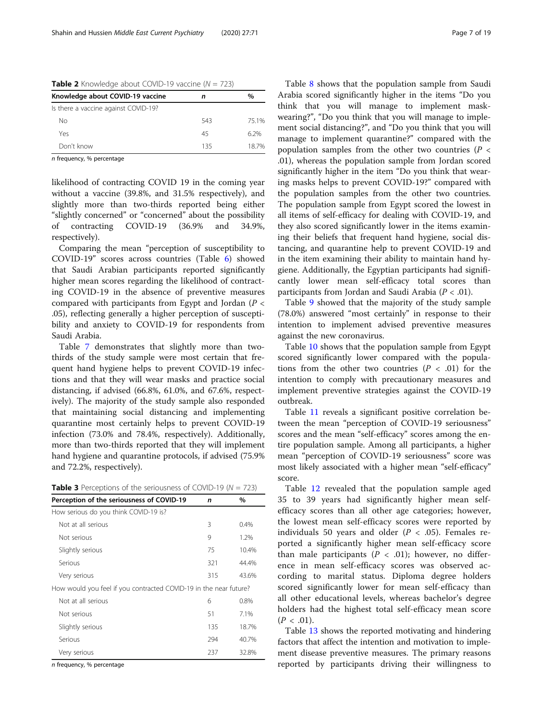<span id="page-6-0"></span>**Table 2** Knowledge about COVID-19 vaccine ( $N = 723$ )

| Knowledge about COVID-19 vaccine     | n   | $\%$  |
|--------------------------------------|-----|-------|
| Is there a vaccine against COVID-19? |     |       |
| Nο                                   | 543 | 75.1% |
| Yes                                  | 45  | 6.2%  |
| Don't know                           | 135 | 187%  |

n frequency, % percentage

likelihood of contracting COVID 19 in the coming year without a vaccine (39.8%, and 31.5% respectively), and slightly more than two-thirds reported being either "slightly concerned" or "concerned" about the possibility of contracting COVID-19 (36.9% and 34.9%, respectively).

Comparing the mean "perception of susceptibility to COVID-19" scores across countries (Table [6](#page-8-0)) showed that Saudi Arabian participants reported significantly higher mean scores regarding the likelihood of contracting COVID-19 in the absence of preventive measures compared with participants from Egypt and Jordan ( $P <$ .05), reflecting generally a higher perception of susceptibility and anxiety to COVID-19 for respondents from Saudi Arabia.

Table [7](#page-8-0) demonstrates that slightly more than twothirds of the study sample were most certain that frequent hand hygiene helps to prevent COVID-19 infections and that they will wear masks and practice social distancing, if advised (66.8%, 61.0%, and 67.6%, respectively). The majority of the study sample also responded that maintaining social distancing and implementing quarantine most certainly helps to prevent COVID-19 infection (73.0% and 78.4%, respectively). Additionally, more than two-thirds reported that they will implement hand hygiene and quarantine protocols, if advised (75.9% and 72.2%, respectively).

| <b>Table 3</b> Perceptions of the seriousness of COVID-19 ( $N = 723$ ) |  |  |
|-------------------------------------------------------------------------|--|--|
|-------------------------------------------------------------------------|--|--|

| Perception of the seriousness of COVID-19                         | n   | %       |
|-------------------------------------------------------------------|-----|---------|
| How serious do you think COVID-19 is?                             |     |         |
| Not at all serious                                                | 3   | 0.4%    |
| Not serious                                                       | 9   | 1.2%    |
| Slightly serious                                                  | 75  | 10.4%   |
| Serious                                                           | 321 | 44.4%   |
| Very serious                                                      | 315 | 43.6%   |
| How would you feel if you contracted COVID-19 in the near future? |     |         |
| Not at all serious                                                | 6   | $0.8\%$ |
| Not serious                                                       | 51  | 7.1%    |
| Slightly serious                                                  | 135 | 18.7%   |
| Serious                                                           | 294 | 40.7%   |
| Very serious                                                      | 237 | 32.8%   |

n frequency, % percentage

Table [8](#page-9-0) shows that the population sample from Saudi Arabia scored significantly higher in the items "Do you think that you will manage to implement maskwearing?", "Do you think that you will manage to implement social distancing?", and "Do you think that you will manage to implement quarantine?" compared with the population samples from the other two countries ( $P <$ .01), whereas the population sample from Jordan scored significantly higher in the item "Do you think that wearing masks helps to prevent COVID-19?" compared with the population samples from the other two countries. The population sample from Egypt scored the lowest in all items of self-efficacy for dealing with COVID-19, and they also scored significantly lower in the items examining their beliefs that frequent hand hygiene, social distancing, and quarantine help to prevent COVID-19 and in the item examining their ability to maintain hand hygiene. Additionally, the Egyptian participants had significantly lower mean self-efficacy total scores than participants from Jordan and Saudi Arabia ( $P < .01$ ).

Table [9](#page-9-0) showed that the majority of the study sample (78.0%) answered "most certainly" in response to their intention to implement advised preventive measures against the new coronavirus.

Table [10](#page-10-0) shows that the population sample from Egypt scored significantly lower compared with the populations from the other two countries  $(P < .01)$  for the intention to comply with precautionary measures and implement preventive strategies against the COVID-19 outbreak.

Table [11](#page-10-0) reveals a significant positive correlation between the mean "perception of COVID-19 seriousness" scores and the mean "self-efficacy" scores among the entire population sample. Among all participants, a higher mean "perception of COVID-19 seriousness" score was most likely associated with a higher mean "self-efficacy" score.

Table [12](#page-11-0) revealed that the population sample aged 35 to 39 years had significantly higher mean selfefficacy scores than all other age categories; however, the lowest mean self-efficacy scores were reported by individuals 50 years and older ( $P < .05$ ). Females reported a significantly higher mean self-efficacy score than male participants ( $P < .01$ ); however, no difference in mean self-efficacy scores was observed according to marital status. Diploma degree holders scored significantly lower for mean self-efficacy than all other educational levels, whereas bachelor's degree holders had the highest total self-efficacy mean score  $(P < .01)$ .

Table [13](#page-12-0) shows the reported motivating and hindering factors that affect the intention and motivation to implement disease preventive measures. The primary reasons reported by participants driving their willingness to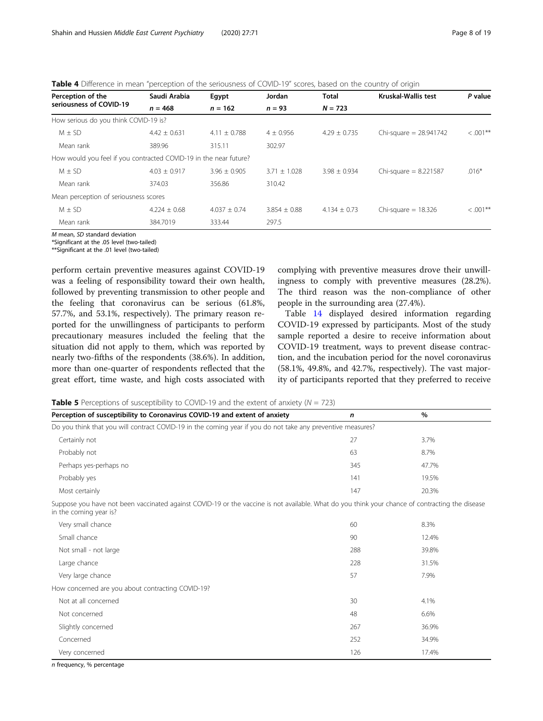<span id="page-7-0"></span>Table 4 Difference in mean "perception of the seriousness of COVID-19" scores, based on the country of origin

| Perception of the                                                 | Saudi Arabia     | Egypt            | Jordan           | <b>Total</b>     | <b>Kruskal-Wallis test</b> | P value      |  |
|-------------------------------------------------------------------|------------------|------------------|------------------|------------------|----------------------------|--------------|--|
| seriousness of COVID-19                                           | $n = 468$        | $n = 162$        | $n = 93$         | $N = 723$        |                            |              |  |
| How serious do you think COVID-19 is?                             |                  |                  |                  |                  |                            |              |  |
| $M \pm SD$                                                        | $4.42 \pm 0.631$ | $4.11 \pm 0.788$ | $4 \pm 0.956$    | $4.29 \pm 0.735$ | Chi-square $= 28.941742$   | $< .001***$  |  |
| Mean rank                                                         | 389.96           | 315.11           | 302.97           |                  |                            |              |  |
| How would you feel if you contracted COVID-19 in the near future? |                  |                  |                  |                  |                            |              |  |
| $M \pm SD$                                                        | $4.03 \pm 0.917$ | $3.96 \pm 0.905$ | $3.71 \pm 1.028$ | $3.98 \pm 0.934$ | Chi-square $= 8.221587$    | $.016*$      |  |
| Mean rank                                                         | 374.03           | 356.86           | 310.42           |                  |                            |              |  |
| Mean perception of seriousness scores                             |                  |                  |                  |                  |                            |              |  |
| $M \pm SD$                                                        | $4.224 \pm 0.68$ | $4.037 + 0.74$   | $3.854 \pm 0.88$ | $4.134 \pm 0.73$ | Chi-square $= 18.326$      | $< 0.001$ ** |  |
| Mean rank                                                         | 384.7019         | 333.44           | 297.5            |                  |                            |              |  |

 $\overline{M}$  mean, SD standard deviation

\*Significant at the .05 level (two-tailed)

\*\*Significant at the .01 level (two-tailed)

perform certain preventive measures against COVID-19 was a feeling of responsibility toward their own health, followed by preventing transmission to other people and the feeling that coronavirus can be serious (61.8%, 57.7%, and 53.1%, respectively). The primary reason reported for the unwillingness of participants to perform precautionary measures included the feeling that the situation did not apply to them, which was reported by nearly two-fifths of the respondents (38.6%). In addition, more than one-quarter of respondents reflected that the great effort, time waste, and high costs associated with complying with preventive measures drove their unwillingness to comply with preventive measures (28.2%). The third reason was the non-compliance of other people in the surrounding area (27.4%).

Table [14](#page-13-0) displayed desired information regarding COVID-19 expressed by participants. Most of the study sample reported a desire to receive information about COVID-19 treatment, ways to prevent disease contraction, and the incubation period for the novel coronavirus (58.1%, 49.8%, and 42.7%, respectively). The vast majority of participants reported that they preferred to receive

**Table 5** Perceptions of susceptibility to COVID-19 and the extent of anxiety ( $N = 723$ )

| Perception of susceptibility to Coronavirus COVID-19 and extent of anxiety                                                                                                | $\mathsf{n}$ | $\%$  |
|---------------------------------------------------------------------------------------------------------------------------------------------------------------------------|--------------|-------|
| Do you think that you will contract COVID-19 in the coming year if you do not take any preventive measures?                                                               |              |       |
| Certainly not                                                                                                                                                             | 27           | 3.7%  |
| Probably not                                                                                                                                                              | 63           | 8.7%  |
| Perhaps yes-perhaps no                                                                                                                                                    | 345          | 47.7% |
| Probably yes                                                                                                                                                              | 141          | 19.5% |
| Most certainly                                                                                                                                                            | 147          | 20.3% |
| Suppose you have not been vaccinated against COVID-19 or the vaccine is not available. What do you think your chance of contracting the disease<br>in the coming year is? |              |       |
| Very small chance                                                                                                                                                         | 60           | 8.3%  |
| Small chance                                                                                                                                                              | 90           | 12.4% |
| Not small - not large                                                                                                                                                     | 288          | 39.8% |
| Large chance                                                                                                                                                              | 228          | 31.5% |
| Very large chance                                                                                                                                                         | 57           | 7.9%  |
| How concerned are you about contracting COVID-19?                                                                                                                         |              |       |
| Not at all concerned                                                                                                                                                      | 30           | 4.1%  |
| Not concerned                                                                                                                                                             | 48           | 6.6%  |
| Slightly concerned                                                                                                                                                        | 267          | 36.9% |
| Concerned                                                                                                                                                                 | 252          | 34.9% |
| Very concerned                                                                                                                                                            | 126          | 17.4% |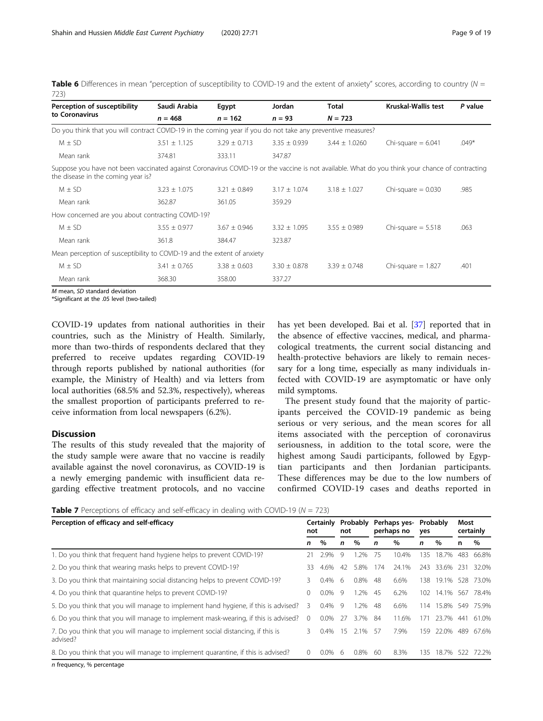<span id="page-8-0"></span>**Table 6** Differences in mean "perception of susceptibility to COVID-19 and the extent of anxiety" scores, according to country  $(N = 1)$ 723)

| Perception of susceptibility                                                                                                                                                          | Saudi Arabia     | Egypt            | Jordan           | Total             | Kruskal-Wallis test  | P value |
|---------------------------------------------------------------------------------------------------------------------------------------------------------------------------------------|------------------|------------------|------------------|-------------------|----------------------|---------|
| to Coronavirus                                                                                                                                                                        | $n = 468$        | $n = 162$        | $n = 93$         | $N = 723$         |                      |         |
| Do you think that you will contract COVID-19 in the coming year if you do not take any preventive measures?                                                                           |                  |                  |                  |                   |                      |         |
| $M \pm SD$                                                                                                                                                                            | $3.51 \pm 1.125$ | $3.29 + 0.713$   | $3.35 \pm 0.939$ | $3.44 \pm 1.0260$ | Chi-square $= 6.041$ | $.049*$ |
| Mean rank                                                                                                                                                                             | 374.81           | 333.11           | 347.87           |                   |                      |         |
| Suppose you have not been vaccinated against Coronavirus COVID-19 or the vaccine is not available. What do you think your chance of contracting<br>the disease in the coming year is? |                  |                  |                  |                   |                      |         |
| $M \pm SD$                                                                                                                                                                            | $3.23 \pm 1.075$ | $3.21 \pm 0.849$ | $3.17 \pm 1.074$ | $3.18 \pm 1.027$  | Chi-square $= 0.030$ | .985    |
| Mean rank                                                                                                                                                                             | 362.87           | 361.05           | 359.29           |                   |                      |         |
| How concerned are you about contracting COVID-19?                                                                                                                                     |                  |                  |                  |                   |                      |         |
| $M \pm SD$                                                                                                                                                                            | $3.55 + 0.977$   | $3.67 + 0.946$   | $3.32 + 1.095$   | $3.55 \pm 0.989$  | Chi-square $= 5.518$ | .063    |
| Mean rank                                                                                                                                                                             | 361.8            | 384.47           | 323.87           |                   |                      |         |
| Mean perception of susceptibility to COVID-19 and the extent of anxiety                                                                                                               |                  |                  |                  |                   |                      |         |
| $M \pm SD$                                                                                                                                                                            | $3.41 \pm 0.765$ | $3.38 \pm 0.603$ | $3.30 \pm 0.878$ | $3.39 \pm 0.748$  | Chi-square $= 1.827$ | .401    |
| Mean rank                                                                                                                                                                             | 368.30           | 358.00           | 337.27           |                   |                      |         |

\*Significant at the .05 level (two-tailed)

COVID-19 updates from national authorities in their countries, such as the Ministry of Health. Similarly, more than two-thirds of respondents declared that they preferred to receive updates regarding COVID-19 through reports published by national authorities (for example, the Ministry of Health) and via letters from local authorities (68.5% and 52.3%, respectively), whereas the smallest proportion of participants preferred to receive information from local newspapers (6.2%).

# Discussion

The results of this study revealed that the majority of the study sample were aware that no vaccine is readily available against the novel coronavirus, as COVID-19 is a newly emerging pandemic with insufficient data regarding effective treatment protocols, and no vaccine has yet been developed. Bai et al. [\[37](#page-17-0)] reported that in the absence of effective vaccines, medical, and pharmacological treatments, the current social distancing and health-protective behaviors are likely to remain necessary for a long time, especially as many individuals infected with COVID-19 are asymptomatic or have only mild symptoms.

The present study found that the majority of participants perceived the COVID-19 pandemic as being serious or very serious, and the mean scores for all items associated with the perception of coronavirus seriousness, in addition to the total score, were the highest among Saudi participants, followed by Egyptian participants and then Jordanian participants. These differences may be due to the low numbers of confirmed COVID-19 cases and deaths reported in

**Table 7** Perceptions of efficacy and self-efficacy in dealing with COVID-19 ( $N = 723$ )

| Perception of efficacy and self-efficacy                                                    |          | Certainly<br>not |     | Probably<br>not |     | Perhaps yes-<br>perhaps no |     | Probably<br>yes |      | Most<br>certainly |
|---------------------------------------------------------------------------------------------|----------|------------------|-----|-----------------|-----|----------------------------|-----|-----------------|------|-------------------|
|                                                                                             | n        | $\%$             | n   | $\%$            | n   | $\%$                       | n   | $\%$            | n    | %                 |
| 1. Do you think that frequent hand hygiene helps to prevent COVID-19?                       | 21       | 2.9%             | 9   | .2%             | 75  | 10.4%                      | 135 | 18.7%           | 483  | 66.8%             |
| 2. Do you think that wearing masks helps to prevent COVID-19?                               | 33.      | 4.6%             | 42  | 5.8%            | 174 | 24.1%                      |     | 243 33.6%       | -231 | 32.0%             |
| 3. Do you think that maintaining social distancing helps to prevent COVID-19?               | 3        | $0.4\%$          | -6  | 0.8%            | -48 | 6.6%                       |     | 138 19.1%       | 528  | 73.0%             |
| 4. Do you think that quarantine helps to prevent COVID-19?                                  | $\Omega$ | $0.0\%$          | - 9 | 1.2%            | -45 | 6.2%                       |     | 102 14.1% 567   |      | 78.4%             |
| 5. Do you think that you will manage to implement hand hygiene, if this is advised?         | 3        | $0.4\%$          | - 9 | 1.2%            | 48  | 6.6%                       | 114 | 15.8%           | 549  | 75.9%             |
| 6. Do you think that you will manage to implement mask-wearing, if this is advised?         | $\Omega$ | $0.0\%$          | 27  | 3.7%            | -84 | 11.6%                      | 171 | 23.7%           | 441  | 61.0%             |
| 7. Do you think that you will manage to implement social distancing, if this is<br>advised? | 3.       | $0.4\%$          | 15  | 2.1%            | -57 | 7.9%                       | 159 | 22.0% 489       |      | 67.6%             |
| 8. Do you think that you will manage to implement quarantine, if this is advised?           | 0        | $0.0\%$          | -6  | 0.8%            | 60  | 8.3%                       | 135 | 18.7%           | 522  | 72.2%             |
|                                                                                             |          |                  |     |                 |     |                            |     |                 |      |                   |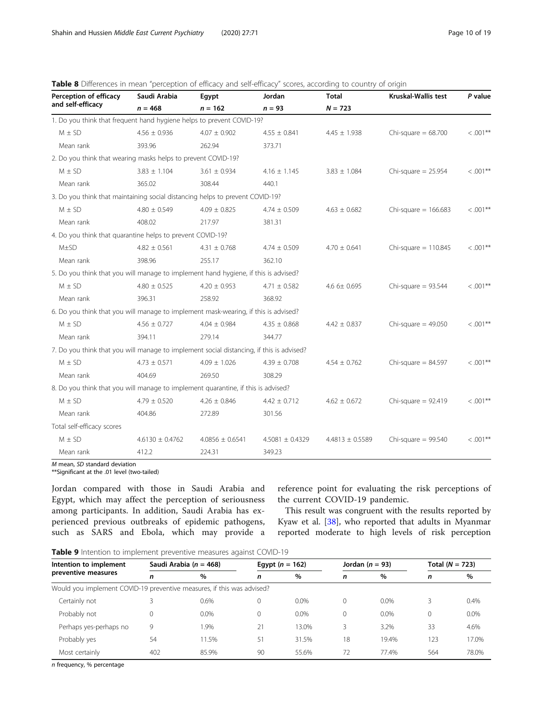| Perception of efficacy                                                                   | Saudi Arabia        | Egypt               | Jordan              | <b>Total</b>        | <b>Kruskal-Wallis test</b> | P value     |
|------------------------------------------------------------------------------------------|---------------------|---------------------|---------------------|---------------------|----------------------------|-------------|
| and self-efficacy                                                                        | $n = 468$           | $n = 162$           | $n = 93$            | $N = 723$           |                            |             |
| 1. Do you think that frequent hand hygiene helps to prevent COVID-19?                    |                     |                     |                     |                     |                            |             |
| $M \pm SD$                                                                               | $4.56 \pm 0.936$    | $4.07 \pm 0.902$    | $4.55 \pm 0.841$    | $4.45 \pm 1.938$    | Chi-square $= 68.700$      | $< .001$ ** |
| Mean rank                                                                                | 393.96              | 262.94              | 373.71              |                     |                            |             |
| 2. Do you think that wearing masks helps to prevent COVID-19?                            |                     |                     |                     |                     |                            |             |
| $M \pm SD$                                                                               | $3.83 \pm 1.104$    | $3.61 \pm 0.934$    | $4.16 \pm 1.145$    | $3.83 \pm 1.084$    | Chi-square $= 25.954$      | $< .001$ ** |
| Mean rank                                                                                | 365.02              | 308.44              | 440.1               |                     |                            |             |
| 3. Do you think that maintaining social distancing helps to prevent COVID-19?            |                     |                     |                     |                     |                            |             |
| $M \pm SD$                                                                               | $4.80 \pm 0.549$    | $4.09 \pm 0.825$    | $4.74 \pm 0.509$    | $4.63 \pm 0.682$    | Chi-square = $166.683$     | $< .001$ ** |
| Mean rank                                                                                | 408.02              | 217.97              | 381.31              |                     |                            |             |
| 4. Do you think that quarantine helps to prevent COVID-19?                               |                     |                     |                     |                     |                            |             |
| $M\pm SD$                                                                                | $4.82 \pm 0.561$    | $4.31 \pm 0.768$    | $4.74 \pm 0.509$    | $4.70 \pm 0.641$    | Chi-square $= 110.845$     | $< .001**$  |
| Mean rank                                                                                | 398.96              | 255.17              | 362.10              |                     |                            |             |
| 5. Do you think that you will manage to implement hand hygiene, if this is advised?      |                     |                     |                     |                     |                            |             |
| $M \pm SD$                                                                               | $4.80 \pm 0.525$    | $4.20 \pm 0.953$    | $4.71 \pm 0.582$    | 4.6 6± 0.695        | Chi-square $= 93.544$      | $< .001***$ |
| Mean rank                                                                                | 396.31              | 258.92              | 368.92              |                     |                            |             |
| 6. Do you think that you will manage to implement mask-wearing, if this is advised?      |                     |                     |                     |                     |                            |             |
| $M \pm SD$                                                                               | $4.56 \pm 0.727$    | $4.04 \pm 0.984$    | $4.35 \pm 0.868$    | $4.42 \pm 0.837$    | Chi-square $= 49.050$      | $< .001**$  |
| Mean rank                                                                                | 394.11              | 279.14              | 344.77              |                     |                            |             |
| 7. Do you think that you will manage to implement social distancing, if this is advised? |                     |                     |                     |                     |                            |             |
| $M \pm SD$                                                                               | $4.73 \pm 0.571$    | $4.09 \pm 1.026$    | $4.39 \pm 0.708$    | $4.54 \pm 0.762$    | Chi-square $= 84.597$      | $< .001***$ |
| Mean rank                                                                                | 404.69              | 269.50              | 308.29              |                     |                            |             |
| 8. Do you think that you will manage to implement quarantine, if this is advised?        |                     |                     |                     |                     |                            |             |
| $M \pm SD$                                                                               | $4.79 \pm 0.520$    | $4.26 \pm 0.846$    | $4.42 \pm 0.712$    | $4.62 \pm 0.672$    | Chi-square $= 92.419$      | $< .001$ ** |
| Mean rank                                                                                | 404.86              | 272.89              | 301.56              |                     |                            |             |
| Total self-efficacy scores                                                               |                     |                     |                     |                     |                            |             |
| $M \pm SD$                                                                               | $4.6130 \pm 0.4762$ | $4.0856 \pm 0.6541$ | $4.5081 \pm 0.4329$ | $4.4813 \pm 0.5589$ | Chi-square $= 99.540$      | $< .001**$  |

<span id="page-9-0"></span>Table 8 Differences in mean "perception of efficacy and self-efficacy" scores, according to country of origin

\*\*Significant at the .01 level (two-tailed)

Jordan compared with those in Saudi Arabia and Egypt, which may affect the perception of seriousness among participants. In addition, Saudi Arabia has experienced previous outbreaks of epidemic pathogens, such as SARS and Ebola, which may provide a

reference point for evaluating the risk perceptions of the current COVID-19 pandemic.

This result was congruent with the results reported by Kyaw et al. [[38\]](#page-17-0), who reported that adults in Myanmar reported moderate to high levels of risk perception

Table 9 Intention to implement preventive measures against COVID-19

Mean rank  $412.2$  224.31 349.23

| Intention to implement                                                 | Saudi Arabia ( $n = 468$ ) |         |    | Egypt $(n = 162)$ |    | Jordan $(n = 93)$ |     | Total $(N = 723)$ |  |
|------------------------------------------------------------------------|----------------------------|---------|----|-------------------|----|-------------------|-----|-------------------|--|
| preventive measures                                                    | n                          | $\%$    | n  | $\%$              | n  | $\%$              | n   | %                 |  |
| Would you implement COVID-19 preventive measures, if this was advised? |                            |         |    |                   |    |                   |     |                   |  |
| Certainly not                                                          |                            | 0.6%    | 0  | 0.0%              | 0  | 0.0%              |     | 0.4%              |  |
| Probably not                                                           |                            | $0.0\%$ | 0  | $0.0\%$           | 0  | 0.0%              | 0   | 0.0%              |  |
| Perhaps yes-perhaps no                                                 | 9                          | .9%     | 21 | 13.0%             |    | 3.2%              | 33  | 4.6%              |  |
| Probably yes                                                           | 54                         | 11.5%   | 51 | 31.5%             | 18 | 19.4%             | 123 | 17.0%             |  |
| Most certainly                                                         | 402                        | 85.9%   | 90 | 55.6%             | 72 | 77.4%             | 564 | 78.0%             |  |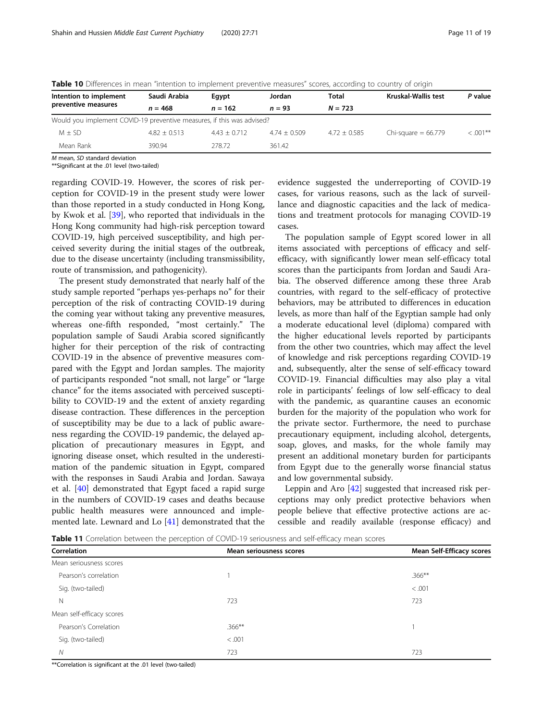| Intention to implement                                                 | Saudi Arabia<br>Jordan<br>Eqypt |                | Total          | Kruskal-Wallis test | P value               |           |  |
|------------------------------------------------------------------------|---------------------------------|----------------|----------------|---------------------|-----------------------|-----------|--|
| preventive measures                                                    | $n = 468$                       | $n = 162$      | $n = 93$       | $N = 723$           |                       |           |  |
| Would you implement COVID-19 preventive measures, if this was advised? |                                 |                |                |                     |                       |           |  |
| $M + SD$                                                               | $4.82 + 0.513$                  | $4.43 + 0.712$ | $4.74 + 0.509$ | $4.72 + 0.585$      | Chi-square = $66.779$ | $<.001**$ |  |
| Mean Rank                                                              | 390.94                          | 278.72         | 361.42         |                     |                       |           |  |

<span id="page-10-0"></span>Table 10 Differences in mean "intention to implement preventive measures" scores, according to country of origin

\*\*Significant at the .01 level (two-tailed)

regarding COVID-19. However, the scores of risk perception for COVID-19 in the present study were lower than those reported in a study conducted in Hong Kong, by Kwok et al. [[39](#page-17-0)], who reported that individuals in the Hong Kong community had high-risk perception toward COVID-19, high perceived susceptibility, and high perceived severity during the initial stages of the outbreak, due to the disease uncertainty (including transmissibility, route of transmission, and pathogenicity).

The present study demonstrated that nearly half of the study sample reported "perhaps yes-perhaps no" for their perception of the risk of contracting COVID-19 during the coming year without taking any preventive measures, whereas one-fifth responded, "most certainly." The population sample of Saudi Arabia scored significantly higher for their perception of the risk of contracting COVID-19 in the absence of preventive measures compared with the Egypt and Jordan samples. The majority of participants responded "not small, not large" or "large chance" for the items associated with perceived susceptibility to COVID-19 and the extent of anxiety regarding disease contraction. These differences in the perception of susceptibility may be due to a lack of public awareness regarding the COVID-19 pandemic, the delayed application of precautionary measures in Egypt, and ignoring disease onset, which resulted in the underestimation of the pandemic situation in Egypt, compared with the responses in Saudi Arabia and Jordan. Sawaya et al. [[40\]](#page-17-0) demonstrated that Egypt faced a rapid surge in the numbers of COVID-19 cases and deaths because public health measures were announced and implemented late. Lewnard and Lo [\[41](#page-17-0)] demonstrated that the

evidence suggested the underreporting of COVID-19 cases, for various reasons, such as the lack of surveillance and diagnostic capacities and the lack of medications and treatment protocols for managing COVID-19 cases.

The population sample of Egypt scored lower in all items associated with perceptions of efficacy and selfefficacy, with significantly lower mean self-efficacy total scores than the participants from Jordan and Saudi Arabia. The observed difference among these three Arab countries, with regard to the self-efficacy of protective behaviors, may be attributed to differences in education levels, as more than half of the Egyptian sample had only a moderate educational level (diploma) compared with the higher educational levels reported by participants from the other two countries, which may affect the level of knowledge and risk perceptions regarding COVID-19 and, subsequently, alter the sense of self-efficacy toward COVID-19. Financial difficulties may also play a vital role in participants' feelings of low self-efficacy to deal with the pandemic, as quarantine causes an economic burden for the majority of the population who work for the private sector. Furthermore, the need to purchase precautionary equipment, including alcohol, detergents, soap, gloves, and masks, for the whole family may present an additional monetary burden for participants from Egypt due to the generally worse financial status and low governmental subsidy.

Leppin and Aro [\[42](#page-17-0)] suggested that increased risk perceptions may only predict protective behaviors when people believe that effective protective actions are accessible and readily available (response efficacy) and

**Table 11** Correlation between the perception of COVID-19 seriousness and self-efficacy mean scores

| Correlation<br>Mean seriousness scores |           | <b>Mean Self-Efficacy scores</b> |
|----------------------------------------|-----------|----------------------------------|
| Mean seriousness scores                |           |                                  |
| Pearson's correlation                  |           | $.366***$                        |
| Sig. (two-tailed)                      |           | < 0.001                          |
| N                                      | 723       | 723                              |
| Mean self-efficacy scores              |           |                                  |
| Pearson's Correlation                  | $.366***$ |                                  |
| Sig. (two-tailed)                      | < 0.001   |                                  |
| N                                      | 723       | 723                              |

\*\*Correlation is significant at the .01 level (two-tailed)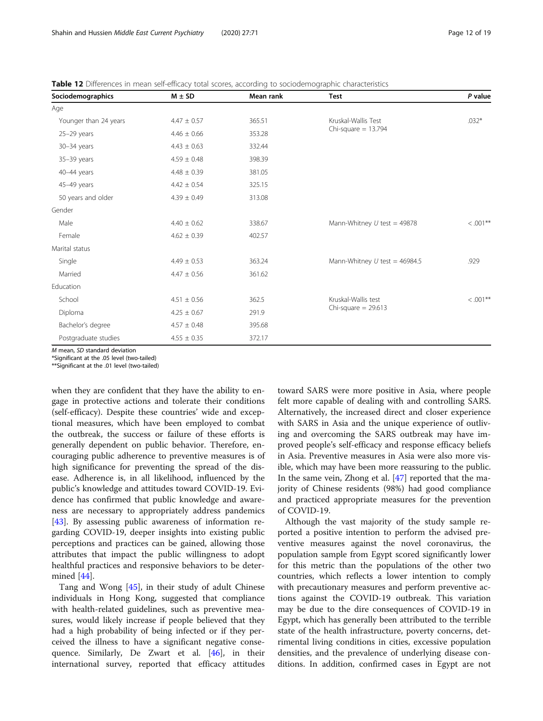| Sociodemographics     | $M \pm SD$      | Mean rank | <b>Test</b>                                  | P value    |
|-----------------------|-----------------|-----------|----------------------------------------------|------------|
| Age                   |                 |           |                                              |            |
| Younger than 24 years | $4.47 \pm 0.57$ | 365.51    | Kruskal-Wallis Test<br>Chi-square $= 13.794$ | $.032*$    |
| $25-29$ years         | $4.46 \pm 0.66$ | 353.28    |                                              |            |
| 30-34 years           | $4.43 \pm 0.63$ | 332.44    |                                              |            |
| $35-39$ years         | $4.59 \pm 0.48$ | 398.39    |                                              |            |
| 40-44 years           | $4.48 \pm 0.39$ | 381.05    |                                              |            |
| 45-49 years           | $4.42 \pm 0.54$ | 325.15    |                                              |            |
| 50 years and older    | $4.39 \pm 0.49$ | 313.08    |                                              |            |
| Gender                |                 |           |                                              |            |
| Male                  | $4.40 \pm 0.62$ | 338.67    | Mann-Whitney $U$ test = 49878                | $< .001**$ |
| Female                | $4.62 \pm 0.39$ | 402.57    |                                              |            |
| Marital status        |                 |           |                                              |            |
| Single                | $4.49 \pm 0.53$ | 363.24    | Mann-Whitney $U$ test = 46984.5              | .929       |
| Married               | $4.47 \pm 0.56$ | 361.62    |                                              |            |
| Education             |                 |           |                                              |            |
| School                | $4.51 \pm 0.56$ | 362.5     | Kruskal-Wallis test<br>Chi-square $= 29.613$ | $< .001**$ |
| Diploma               | $4.25 \pm 0.67$ | 291.9     |                                              |            |
| Bachelor's degree     | $4.57 \pm 0.48$ | 395.68    |                                              |            |
| Postgraduate studies  | $4.55 \pm 0.35$ | 372.17    |                                              |            |

<span id="page-11-0"></span>Table 12 Differences in mean self-efficacy total scores, according to sociodemographic characteristics

\*Significant at the .05 level (two-tailed)

\*\*Significant at the .01 level (two-tailed)

when they are confident that they have the ability to engage in protective actions and tolerate their conditions (self-efficacy). Despite these countries' wide and exceptional measures, which have been employed to combat the outbreak, the success or failure of these efforts is generally dependent on public behavior. Therefore, encouraging public adherence to preventive measures is of high significance for preventing the spread of the disease. Adherence is, in all likelihood, influenced by the public's knowledge and attitudes toward COVID-19. Evidence has confirmed that public knowledge and awareness are necessary to appropriately address pandemics [[43\]](#page-17-0). By assessing public awareness of information regarding COVID-19, deeper insights into existing public perceptions and practices can be gained, allowing those attributes that impact the public willingness to adopt healthful practices and responsive behaviors to be determined [[44](#page-17-0)].

Tang and Wong [\[45\]](#page-17-0), in their study of adult Chinese individuals in Hong Kong, suggested that compliance with health-related guidelines, such as preventive measures, would likely increase if people believed that they had a high probability of being infected or if they perceived the illness to have a significant negative consequence. Similarly, De Zwart et al. [[46](#page-17-0)], in their international survey, reported that efficacy attitudes

toward SARS were more positive in Asia, where people felt more capable of dealing with and controlling SARS. Alternatively, the increased direct and closer experience with SARS in Asia and the unique experience of outliving and overcoming the SARS outbreak may have improved people's self-efficacy and response efficacy beliefs in Asia. Preventive measures in Asia were also more visible, which may have been more reassuring to the public. In the same vein, Zhong et al. [[47](#page-17-0)] reported that the majority of Chinese residents (98%) had good compliance and practiced appropriate measures for the prevention of COVID-19.

Although the vast majority of the study sample reported a positive intention to perform the advised preventive measures against the novel coronavirus, the population sample from Egypt scored significantly lower for this metric than the populations of the other two countries, which reflects a lower intention to comply with precautionary measures and perform preventive actions against the COVID-19 outbreak. This variation may be due to the dire consequences of COVID-19 in Egypt, which has generally been attributed to the terrible state of the health infrastructure, poverty concerns, detrimental living conditions in cities, excessive population densities, and the prevalence of underlying disease conditions. In addition, confirmed cases in Egypt are not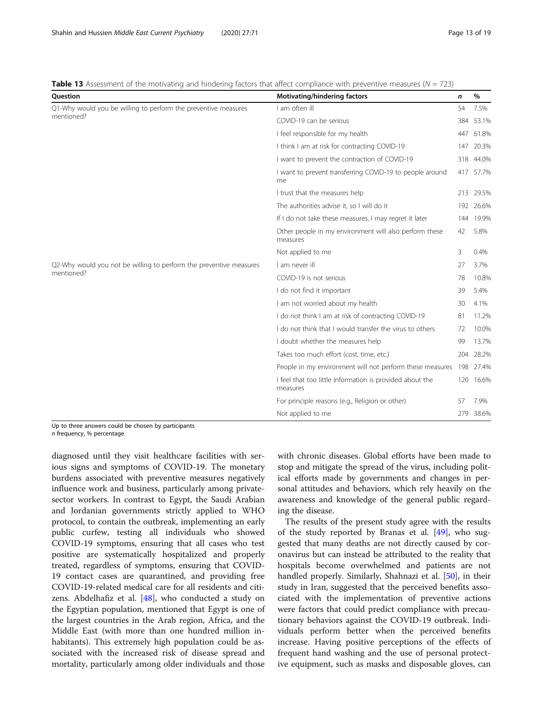<span id="page-12-0"></span>

| Question                                                           | Motivating/hindering factors                                                                                                                                                                                                                                                                                                                                                                                                                                                                                                                                                                                                                                       | n     | %         |
|--------------------------------------------------------------------|--------------------------------------------------------------------------------------------------------------------------------------------------------------------------------------------------------------------------------------------------------------------------------------------------------------------------------------------------------------------------------------------------------------------------------------------------------------------------------------------------------------------------------------------------------------------------------------------------------------------------------------------------------------------|-------|-----------|
| Q1-Why would you be willing to perform the preventive measures     | I am often ill                                                                                                                                                                                                                                                                                                                                                                                                                                                                                                                                                                                                                                                     | 54    | 7.5%      |
| mentioned?                                                         | COVID-19 can be serious                                                                                                                                                                                                                                                                                                                                                                                                                                                                                                                                                                                                                                            | 384   | 53.1%     |
|                                                                    | I feel responsible for my health                                                                                                                                                                                                                                                                                                                                                                                                                                                                                                                                                                                                                                   | 447   | 61.8%     |
|                                                                    | I think I am at risk for contracting COVID-19                                                                                                                                                                                                                                                                                                                                                                                                                                                                                                                                                                                                                      | 147   | 20.3%     |
|                                                                    | I want to prevent the contraction of COVID-19                                                                                                                                                                                                                                                                                                                                                                                                                                                                                                                                                                                                                      | 318   | 44.0%     |
|                                                                    | I want to prevent transferring COVID-19 to people around<br>me                                                                                                                                                                                                                                                                                                                                                                                                                                                                                                                                                                                                     |       | 417 57.7% |
| I trust that the measures help                                     | 213                                                                                                                                                                                                                                                                                                                                                                                                                                                                                                                                                                                                                                                                | 29.5% |           |
|                                                                    | The authorities advise it, so I will do it<br>If I do not take these measures, I may regret it later<br>Other people in my environment will also perform these<br>measures<br>Not applied to me<br>I am never ill<br>COVID-19 is not serious<br>I do not find it important<br>I am not worried about my health<br>I do not think I am at risk of contracting COVID-19<br>I do not think that I would transfer the virus to others<br>I doubt whether the measures help<br>Takes too much effort (cost, time, etc.)<br>I feel that too little information is provided about the<br>measures<br>For principle reasons (e.g., Religion or other)<br>Not applied to me | 192   | 26.6%     |
|                                                                    | 144                                                                                                                                                                                                                                                                                                                                                                                                                                                                                                                                                                                                                                                                | 19.9% |           |
|                                                                    |                                                                                                                                                                                                                                                                                                                                                                                                                                                                                                                                                                                                                                                                    | 42    | 5.8%      |
|                                                                    |                                                                                                                                                                                                                                                                                                                                                                                                                                                                                                                                                                                                                                                                    | 3     | 0.4%      |
| Q2-Why would you not be willing to perform the preventive measures |                                                                                                                                                                                                                                                                                                                                                                                                                                                                                                                                                                                                                                                                    | 27    | 3.7%      |
| mentioned?                                                         |                                                                                                                                                                                                                                                                                                                                                                                                                                                                                                                                                                                                                                                                    | 78    | 10.8%     |
|                                                                    |                                                                                                                                                                                                                                                                                                                                                                                                                                                                                                                                                                                                                                                                    | 39    | 5.4%      |
|                                                                    |                                                                                                                                                                                                                                                                                                                                                                                                                                                                                                                                                                                                                                                                    | 30    | 4.1%      |
|                                                                    |                                                                                                                                                                                                                                                                                                                                                                                                                                                                                                                                                                                                                                                                    | 81    | 11.2%     |
|                                                                    |                                                                                                                                                                                                                                                                                                                                                                                                                                                                                                                                                                                                                                                                    | 72    | 10.0%     |
|                                                                    |                                                                                                                                                                                                                                                                                                                                                                                                                                                                                                                                                                                                                                                                    | 99    | 13.7%     |
|                                                                    |                                                                                                                                                                                                                                                                                                                                                                                                                                                                                                                                                                                                                                                                    | 204   | 28.2%     |
|                                                                    | People in my environment will not perform these measures                                                                                                                                                                                                                                                                                                                                                                                                                                                                                                                                                                                                           | 198   | 27.4%     |
|                                                                    |                                                                                                                                                                                                                                                                                                                                                                                                                                                                                                                                                                                                                                                                    | 120   | 16.6%     |
|                                                                    |                                                                                                                                                                                                                                                                                                                                                                                                                                                                                                                                                                                                                                                                    | 57    | 7.9%      |
|                                                                    |                                                                                                                                                                                                                                                                                                                                                                                                                                                                                                                                                                                                                                                                    | 279   | 38.6%     |

Up to three answers could be chosen by participants n frequency, % percentage

diagnosed until they visit healthcare facilities with serious signs and symptoms of COVID-19. The monetary burdens associated with preventive measures negatively influence work and business, particularly among privatesector workers. In contrast to Egypt, the Saudi Arabian and Jordanian governments strictly applied to WHO protocol, to contain the outbreak, implementing an early public curfew, testing all individuals who showed COVID-19 symptoms, ensuring that all cases who test positive are systematically hospitalized and properly treated, regardless of symptoms, ensuring that COVID-19 contact cases are quarantined, and providing free COVID-19-related medical care for all residents and citizens. Abdelhafiz et al. [\[48](#page-17-0)], who conducted a study on the Egyptian population, mentioned that Egypt is one of the largest countries in the Arab region, Africa, and the Middle East (with more than one hundred million inhabitants). This extremely high population could be associated with the increased risk of disease spread and mortality, particularly among older individuals and those with chronic diseases. Global efforts have been made to stop and mitigate the spread of the virus, including political efforts made by governments and changes in personal attitudes and behaviors, which rely heavily on the awareness and knowledge of the general public regarding the disease.

The results of the present study agree with the results of the study reported by Branas et al. [[49\]](#page-17-0), who suggested that many deaths are not directly caused by coronavirus but can instead be attributed to the reality that hospitals become overwhelmed and patients are not handled properly. Similarly, Shahnazi et al. [\[50](#page-17-0)], in their study in Iran, suggested that the perceived benefits associated with the implementation of preventive actions were factors that could predict compliance with precautionary behaviors against the COVID-19 outbreak. Individuals perform better when the perceived benefits increase. Having positive perceptions of the effects of frequent hand washing and the use of personal protective equipment, such as masks and disposable gloves, can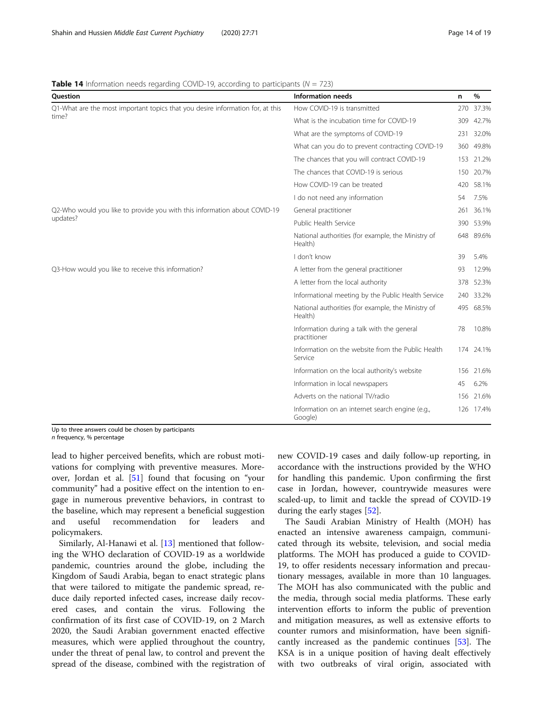<span id="page-13-0"></span>**Table 14** Information needs regarding COVID-19, according to participants ( $N = 723$ )

| <b>Ouestion</b>                                                                | <b>Information needs</b>                                                                                                                                                                                                                                                                                                                                                                                                                                                                                                                                                                                             | n    | %         |
|--------------------------------------------------------------------------------|----------------------------------------------------------------------------------------------------------------------------------------------------------------------------------------------------------------------------------------------------------------------------------------------------------------------------------------------------------------------------------------------------------------------------------------------------------------------------------------------------------------------------------------------------------------------------------------------------------------------|------|-----------|
| Q1-What are the most important topics that you desire information for, at this | How COVID-19 is transmitted                                                                                                                                                                                                                                                                                                                                                                                                                                                                                                                                                                                          | 270  | 37.3%     |
| time?                                                                          | What is the incubation time for COVID-19                                                                                                                                                                                                                                                                                                                                                                                                                                                                                                                                                                             | 309  | 42.7%     |
|                                                                                | What are the symptoms of COVID-19                                                                                                                                                                                                                                                                                                                                                                                                                                                                                                                                                                                    |      | 231 32.0% |
|                                                                                | What can you do to prevent contracting COVID-19                                                                                                                                                                                                                                                                                                                                                                                                                                                                                                                                                                      | 360- | 49.8%     |
|                                                                                | The chances that you will contract COVID-19                                                                                                                                                                                                                                                                                                                                                                                                                                                                                                                                                                          | 153  | 21.2%     |
|                                                                                | The chances that COVID-19 is serious                                                                                                                                                                                                                                                                                                                                                                                                                                                                                                                                                                                 | 150  | 20.7%     |
|                                                                                | How COVID-19 can be treated                                                                                                                                                                                                                                                                                                                                                                                                                                                                                                                                                                                          | 420  | 58.1%     |
|                                                                                | I do not need any information                                                                                                                                                                                                                                                                                                                                                                                                                                                                                                                                                                                        | 54   | 7.5%      |
| Q2-Who would you like to provide you with this information about COVID-19      | General practitioner                                                                                                                                                                                                                                                                                                                                                                                                                                                                                                                                                                                                 | 261  | 36.1%     |
| updates?                                                                       | Public Health Service<br>National authorities (for example, the Ministry of<br>Health)<br>I don't know<br>A letter from the general practitioner<br>A letter from the local authority<br>Informational meeting by the Public Health Service<br>National authorities (for example, the Ministry of<br>Health)<br>Information during a talk with the general<br>practitioner<br>Information on the website from the Public Health<br>Service<br>Information on the local authority's website<br>Information in local newspapers<br>Adverts on the national TV/radio<br>Information on an internet search engine (e.g., |      | 390 53.9% |
|                                                                                |                                                                                                                                                                                                                                                                                                                                                                                                                                                                                                                                                                                                                      | 648  | 89.6%     |
|                                                                                |                                                                                                                                                                                                                                                                                                                                                                                                                                                                                                                                                                                                                      | 39   | 5.4%      |
| Q3-How would you like to receive this information?                             |                                                                                                                                                                                                                                                                                                                                                                                                                                                                                                                                                                                                                      | 93   | 12.9%     |
|                                                                                | Google)                                                                                                                                                                                                                                                                                                                                                                                                                                                                                                                                                                                                              |      | 378 52.3% |
|                                                                                |                                                                                                                                                                                                                                                                                                                                                                                                                                                                                                                                                                                                                      |      | 240 33.2% |
|                                                                                |                                                                                                                                                                                                                                                                                                                                                                                                                                                                                                                                                                                                                      | 495  | 68.5%     |
|                                                                                |                                                                                                                                                                                                                                                                                                                                                                                                                                                                                                                                                                                                                      | 78   | 10.8%     |
|                                                                                |                                                                                                                                                                                                                                                                                                                                                                                                                                                                                                                                                                                                                      |      | 174 24.1% |
|                                                                                |                                                                                                                                                                                                                                                                                                                                                                                                                                                                                                                                                                                                                      | 156  | 21.6%     |
|                                                                                |                                                                                                                                                                                                                                                                                                                                                                                                                                                                                                                                                                                                                      | 45   | 6.2%      |
|                                                                                |                                                                                                                                                                                                                                                                                                                                                                                                                                                                                                                                                                                                                      | 156  | 21.6%     |
|                                                                                |                                                                                                                                                                                                                                                                                                                                                                                                                                                                                                                                                                                                                      | 126  | 17.4%     |

Up to three answers could be chosen by participants n frequency, % percentage

lead to higher perceived benefits, which are robust motivations for complying with preventive measures. Moreover, Jordan et al. [\[51](#page-17-0)] found that focusing on "your community" had a positive effect on the intention to engage in numerous preventive behaviors, in contrast to the baseline, which may represent a beneficial suggestion and useful recommendation for leaders and policymakers.

Similarly, Al-Hanawi et al. [\[13](#page-16-0)] mentioned that following the WHO declaration of COVID-19 as a worldwide pandemic, countries around the globe, including the Kingdom of Saudi Arabia, began to enact strategic plans that were tailored to mitigate the pandemic spread, reduce daily reported infected cases, increase daily recovered cases, and contain the virus. Following the confirmation of its first case of COVID-19, on 2 March 2020, the Saudi Arabian government enacted effective measures, which were applied throughout the country, under the threat of penal law, to control and prevent the spread of the disease, combined with the registration of

new COVID-19 cases and daily follow-up reporting, in accordance with the instructions provided by the WHO for handling this pandemic. Upon confirming the first case in Jordan, however, countrywide measures were scaled-up, to limit and tackle the spread of COVID-19 during the early stages [\[52\]](#page-17-0).

The Saudi Arabian Ministry of Health (MOH) has enacted an intensive awareness campaign, communicated through its website, television, and social media platforms. The MOH has produced a guide to COVID-19, to offer residents necessary information and precautionary messages, available in more than 10 languages. The MOH has also communicated with the public and the media, through social media platforms. These early intervention efforts to inform the public of prevention and mitigation measures, as well as extensive efforts to counter rumors and misinformation, have been significantly increased as the pandemic continues [[53\]](#page-17-0). The KSA is in a unique position of having dealt effectively with two outbreaks of viral origin, associated with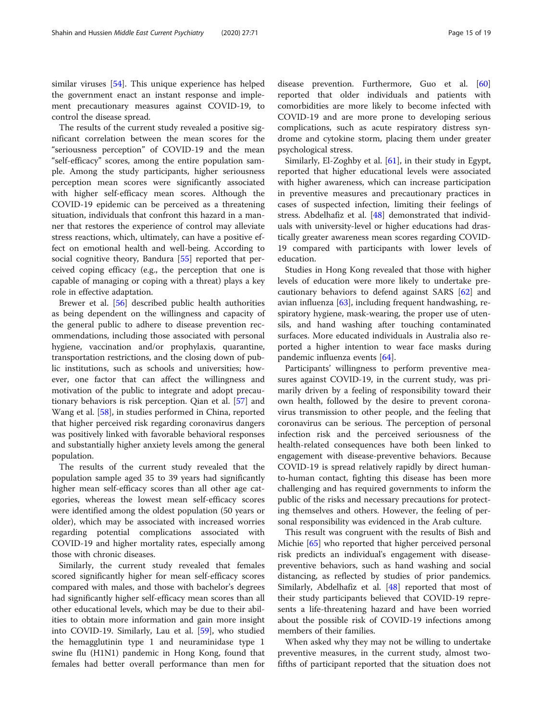similar viruses [[54\]](#page-17-0). This unique experience has helped the government enact an instant response and implement precautionary measures against COVID-19, to control the disease spread.

The results of the current study revealed a positive significant correlation between the mean scores for the "seriousness perception" of COVID-19 and the mean "self-efficacy" scores, among the entire population sample. Among the study participants, higher seriousness perception mean scores were significantly associated with higher self-efficacy mean scores. Although the COVID-19 epidemic can be perceived as a threatening situation, individuals that confront this hazard in a manner that restores the experience of control may alleviate stress reactions, which, ultimately, can have a positive effect on emotional health and well-being. According to social cognitive theory, Bandura [[55\]](#page-17-0) reported that perceived coping efficacy (e.g., the perception that one is capable of managing or coping with a threat) plays a key role in effective adaptation.

Brewer et al. [[56\]](#page-17-0) described public health authorities as being dependent on the willingness and capacity of the general public to adhere to disease prevention recommendations, including those associated with personal hygiene, vaccination and/or prophylaxis, quarantine, transportation restrictions, and the closing down of public institutions, such as schools and universities; however, one factor that can affect the willingness and motivation of the public to integrate and adopt precautionary behaviors is risk perception. Qian et al. [\[57\]](#page-18-0) and Wang et al. [[58\]](#page-18-0), in studies performed in China, reported that higher perceived risk regarding coronavirus dangers was positively linked with favorable behavioral responses and substantially higher anxiety levels among the general population.

The results of the current study revealed that the population sample aged 35 to 39 years had significantly higher mean self-efficacy scores than all other age categories, whereas the lowest mean self-efficacy scores were identified among the oldest population (50 years or older), which may be associated with increased worries regarding potential complications associated with COVID-19 and higher mortality rates, especially among those with chronic diseases.

Similarly, the current study revealed that females scored significantly higher for mean self-efficacy scores compared with males, and those with bachelor's degrees had significantly higher self-efficacy mean scores than all other educational levels, which may be due to their abilities to obtain more information and gain more insight into COVID-19. Similarly, Lau et al. [[59](#page-18-0)], who studied the hemagglutinin type 1 and neuraminidase type 1 swine flu (H1N1) pandemic in Hong Kong, found that females had better overall performance than men for disease prevention. Furthermore, Guo et al. [[60](#page-18-0)] reported that older individuals and patients with comorbidities are more likely to become infected with COVID-19 and are more prone to developing serious complications, such as acute respiratory distress syndrome and cytokine storm, placing them under greater psychological stress.

Similarly, El-Zoghby et al. [[61](#page-18-0)], in their study in Egypt, reported that higher educational levels were associated with higher awareness, which can increase participation in preventive measures and precautionary practices in cases of suspected infection, limiting their feelings of stress. Abdelhafiz et al. [\[48](#page-17-0)] demonstrated that individuals with university-level or higher educations had drastically greater awareness mean scores regarding COVID-19 compared with participants with lower levels of education.

Studies in Hong Kong revealed that those with higher levels of education were more likely to undertake precautionary behaviors to defend against SARS [[62\]](#page-18-0) and avian influenza [\[63\]](#page-18-0), including frequent handwashing, respiratory hygiene, mask-wearing, the proper use of utensils, and hand washing after touching contaminated surfaces. More educated individuals in Australia also reported a higher intention to wear face masks during pandemic influenza events [\[64](#page-18-0)].

Participants' willingness to perform preventive measures against COVID-19, in the current study, was primarily driven by a feeling of responsibility toward their own health, followed by the desire to prevent coronavirus transmission to other people, and the feeling that coronavirus can be serious. The perception of personal infection risk and the perceived seriousness of the health-related consequences have both been linked to engagement with disease-preventive behaviors. Because COVID-19 is spread relatively rapidly by direct humanto-human contact, fighting this disease has been more challenging and has required governments to inform the public of the risks and necessary precautions for protecting themselves and others. However, the feeling of personal responsibility was evidenced in the Arab culture.

This result was congruent with the results of Bish and Michie [\[65](#page-18-0)] who reported that higher perceived personal risk predicts an individual's engagement with diseasepreventive behaviors, such as hand washing and social distancing, as reflected by studies of prior pandemics. Similarly, Abdelhafiz et al. [\[48](#page-17-0)] reported that most of their study participants believed that COVID-19 represents a life-threatening hazard and have been worried about the possible risk of COVID-19 infections among members of their families.

When asked why they may not be willing to undertake preventive measures, in the current study, almost twofifths of participant reported that the situation does not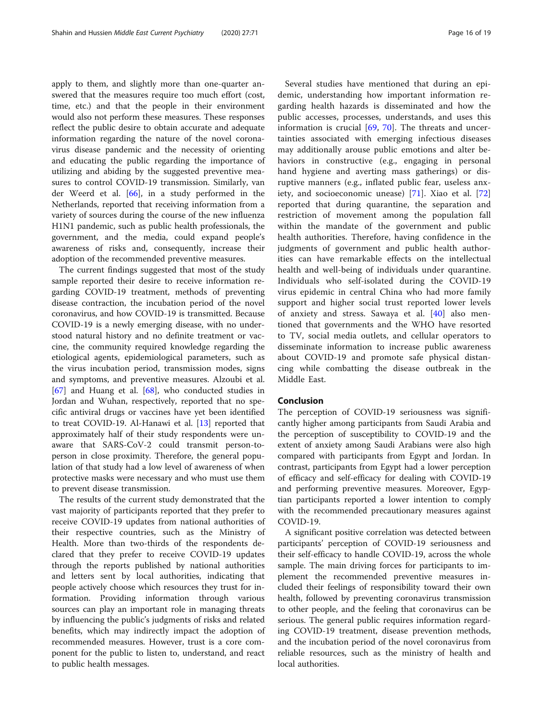apply to them, and slightly more than one-quarter answered that the measures require too much effort (cost, time, etc.) and that the people in their environment would also not perform these measures. These responses reflect the public desire to obtain accurate and adequate information regarding the nature of the novel coronavirus disease pandemic and the necessity of orienting and educating the public regarding the importance of utilizing and abiding by the suggested preventive measures to control COVID-19 transmission. Similarly, van der Weerd et al. [[66](#page-18-0)], in a study performed in the Netherlands, reported that receiving information from a variety of sources during the course of the new influenza H1N1 pandemic, such as public health professionals, the government, and the media, could expand people's awareness of risks and, consequently, increase their adoption of the recommended preventive measures.

The current findings suggested that most of the study sample reported their desire to receive information regarding COVID-19 treatment, methods of preventing disease contraction, the incubation period of the novel coronavirus, and how COVID-19 is transmitted. Because COVID-19 is a newly emerging disease, with no understood natural history and no definite treatment or vaccine, the community required knowledge regarding the etiological agents, epidemiological parameters, such as the virus incubation period, transmission modes, signs and symptoms, and preventive measures. Alzoubi et al. [[67\]](#page-18-0) and Huang et al. [[68](#page-18-0)], who conducted studies in Jordan and Wuhan, respectively, reported that no specific antiviral drugs or vaccines have yet been identified to treat COVID-19. Al-Hanawi et al. [[13\]](#page-16-0) reported that approximately half of their study respondents were unaware that SARS-CoV-2 could transmit person-toperson in close proximity. Therefore, the general population of that study had a low level of awareness of when protective masks were necessary and who must use them to prevent disease transmission.

The results of the current study demonstrated that the vast majority of participants reported that they prefer to receive COVID-19 updates from national authorities of their respective countries, such as the Ministry of Health. More than two-thirds of the respondents declared that they prefer to receive COVID-19 updates through the reports published by national authorities and letters sent by local authorities, indicating that people actively choose which resources they trust for information. Providing information through various sources can play an important role in managing threats by influencing the public's judgments of risks and related benefits, which may indirectly impact the adoption of recommended measures. However, trust is a core component for the public to listen to, understand, and react to public health messages.

Several studies have mentioned that during an epidemic, understanding how important information regarding health hazards is disseminated and how the public accesses, processes, understands, and uses this information is crucial [[69,](#page-18-0) [70\]](#page-18-0). The threats and uncertainties associated with emerging infectious diseases may additionally arouse public emotions and alter behaviors in constructive (e.g., engaging in personal hand hygiene and averting mass gatherings) or disruptive manners (e.g., inflated public fear, useless anxiety, and socioeconomic unease) [[71\]](#page-18-0). Xiao et al. [\[72](#page-18-0)] reported that during quarantine, the separation and

restriction of movement among the population fall within the mandate of the government and public health authorities. Therefore, having confidence in the judgments of government and public health authorities can have remarkable effects on the intellectual health and well-being of individuals under quarantine. Individuals who self-isolated during the COVID-19 virus epidemic in central China who had more family support and higher social trust reported lower levels of anxiety and stress. Sawaya et al. [\[40](#page-17-0)] also mentioned that governments and the WHO have resorted to TV, social media outlets, and cellular operators to disseminate information to increase public awareness about COVID-19 and promote safe physical distancing while combatting the disease outbreak in the Middle East.

#### Conclusion

The perception of COVID-19 seriousness was significantly higher among participants from Saudi Arabia and the perception of susceptibility to COVID-19 and the extent of anxiety among Saudi Arabians were also high compared with participants from Egypt and Jordan. In contrast, participants from Egypt had a lower perception of efficacy and self-efficacy for dealing with COVID-19 and performing preventive measures. Moreover, Egyptian participants reported a lower intention to comply with the recommended precautionary measures against COVID-19.

A significant positive correlation was detected between participants' perception of COVID-19 seriousness and their self-efficacy to handle COVID-19, across the whole sample. The main driving forces for participants to implement the recommended preventive measures included their feelings of responsibility toward their own health, followed by preventing coronavirus transmission to other people, and the feeling that coronavirus can be serious. The general public requires information regarding COVID-19 treatment, disease prevention methods, and the incubation period of the novel coronavirus from reliable resources, such as the ministry of health and local authorities.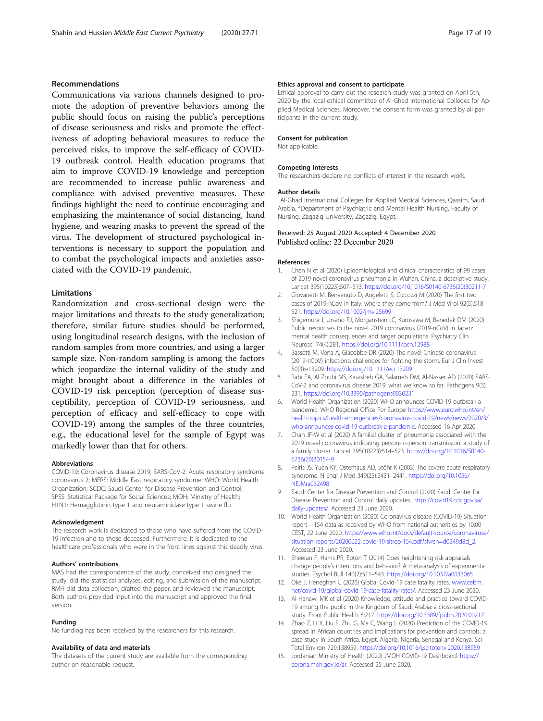# <span id="page-16-0"></span>Recommendations

Communications via various channels designed to promote the adoption of preventive behaviors among the public should focus on raising the public's perceptions of disease seriousness and risks and promote the effectiveness of adopting behavioral measures to reduce the perceived risks, to improve the self-efficacy of COVID-19 outbreak control. Health education programs that aim to improve COVID-19 knowledge and perception are recommended to increase public awareness and compliance with advised preventive measures. These findings highlight the need to continue encouraging and emphasizing the maintenance of social distancing, hand hygiene, and wearing masks to prevent the spread of the virus. The development of structured psychological interventions is necessary to support the population and to combat the psychological impacts and anxieties associated with the COVID-19 pandemic.

# Limitations

Randomization and cross-sectional design were the major limitations and threats to the study generalization; therefore, similar future studies should be performed, using longitudinal research designs, with the inclusion of random samples from more countries, and using a larger sample size. Non-random sampling is among the factors which jeopardize the internal validity of the study and might brought about a difference in the variables of COVID-19 risk perception (perception of disease susceptibility, perception of COVID-19 seriousness, and perception of efficacy and self-efficacy to cope with COVID-19) among the samples of the three countries, e.g., the educational level for the sample of Egypt was markedly lower than that for others.

#### Abbreviations

COVID-19: Coronavirus disease 2019; SARS-CoV-2: Acute respiratory syndrome coronavirus 2; MERS: Middle East respiratory syndrome; WHO: World Health Organization; SCDC: Saudi Center for Disease Prevention and Control; SPSS: Statistical Package for Social Sciences; MOH: Ministry of Health; H1N1: Hemagglutinin type 1 and neuraminidase type 1 swine flu

#### Acknowledgment

The research work is dedicated to those who have suffered from the COVID-19 infection and to those deceased. Furthermore, it is dedicated to the healthcare professionals who were in the front lines against this deadly virus.

#### Authors' contributions

MAS had the correspondence of the study, conceived and designed the study, did the statistical analyses, editing, and submission of the manuscript. RMH did data collection, drafted the paper, and reviewed the manuscript. Both authors provided input into the manuscript and approved the final version.

#### Funding

No funding has been received by the researchers for this research.

#### Availability of data and materials

The datasets of the current study are available from the corresponding author on reasonable request.

#### Ethics approval and consent to participate

Ethical approval to carry out the research study was granted on April 5th, 2020 by the local ethical committee of Al-Ghad International Colleges for Applied Medical Sciences. Moreover, the consent form was granted by all participants in the current study.

#### Consent for publication

Not applicable.

#### Competing interests

The researchers declare no conflicts of interest in the research work.

#### Author details

<sup>1</sup>Al-Ghad International Colleges for Applied Medical Sciences, Qassim, Saudi Arabia. <sup>2</sup> Department of Psychiatric and Mental Health Nursing, Faculty of Nursing, Zagazig University, Zagazig, Egypt.

#### Received: 25 August 2020 Accepted: 4 December 2020 Published online: 22 December 2020

#### References

- 1. Chen N et al (2020) Epidemiological and clinical characteristics of 99 cases of 2019 novel coronavirus pneumonia in Wuhan, China: a descriptive study. Lancet 395(10223):507–513. [https://doi.org/10.1016/S0140-6736\(20\)30211-7](https://doi.org/10.1016/S0140-6736(20)30211-7)
- 2. Giovanetti M, Benvenuto D, Angeletti S, Ciccozzi M (2020) The first two cases of 2019-nCoV in Italy: where they come from? J Med Virol 92(5):518– 521. <https://doi.org/10.1002/jmv.25699>
- 3. Shigemura J, Ursano RJ, Morganstein JC, Kurosawa M, Benedek DM (2020) Public responses to the novel 2019 coronavirus (2019-nCoV) in Japan: mental health consequences and target populations. Psychiatry Clin Neurosci 74(4):281. <https://doi.org/10.1111/pcn.12988>
- 4. Bassetti M, Vena A, Giacobbe DR (2020) The novel Chinese coronavirus (2019-nCoV) infections: challenges for fighting the storm. Eur J Clin Invest 50(3):e13209. <https://doi.org/10.1111/eci.13209>
- 5. Rabi FA, Al Zoubi MS, Kasasbeh GA, Salameh DM, Al-Nasser AD (2020) SARS-CoV-2 and coronavirus disease 2019: what we know so far. Pathogens 9(3): 231. <https://doi.org/10.3390/pathogens9030231>
- 6. World Health Organization (2020) WHO announces COVID-19 outbreak a pandemic. WHO Regional Office For Europe [https://www.euro.who.int/en/](https://www.euro.who.int/en/health-topics/health-emergencies/coronavirus-covid-19/news/news/2020/3/who-announces-covid-19-outbreak-a-pandemic) [health-topics/health-emergencies/coronavirus-covid-19/news/news/2020/3/](https://www.euro.who.int/en/health-topics/health-emergencies/coronavirus-covid-19/news/news/2020/3/who-announces-covid-19-outbreak-a-pandemic) [who-announces-covid-19-outbreak-a-pandemic](https://www.euro.who.int/en/health-topics/health-emergencies/coronavirus-covid-19/news/news/2020/3/who-announces-covid-19-outbreak-a-pandemic). Accessed 16 Apr 2020
- 7. Chan JF-W et al (2020) A familial cluster of pneumonia associated with the 2019 novel coronavirus indicating person-to-person transmission: a study of a family cluster. Lancet 395(10223):514–523. [https://doi.org/10.1016/S0140-](https://doi.org/10.1016/S0140-6736(20)30154-9) [6736\(20\)30154-9](https://doi.org/10.1016/S0140-6736(20)30154-9)
- 8. Peiris JS, Yuen KY, Osterhaus AD, Stöhr K (2003) The severe acute respiratory syndrome. N Engl J Med 349(25):2431–2441. [https://doi.org/10.1056/](https://doi.org/10.1056/NEJMra032498) [NEJMra032498](https://doi.org/10.1056/NEJMra032498)
- 9. Saudi Center for Disease Prevention and Control (2020) Saudi Center for Disease Prevention and Control daily updates. [https://covid19.cdc.gov.sa/](https://covid19.cdc.gov.sa/daily-updates/) [daily-updates/](https://covid19.cdc.gov.sa/daily-updates/). Accessed 23 June 2020.
- 10. World Health Organization (2020) Coronavirus disease (COVID-19) Situation report—154 data as received by WHO from national authorities by 10:00 CEST, 22 June 2020. [https://www.who.int/docs/default-source/coronaviruse/](https://www.who.int/docs/default-source/coronaviruse/situation-reports/20200622-covid-19-sitrep-154.pdf?sfvrsn=d0249d8d_2) [situation-reports/20200622-covid-19-sitrep-154.pdf?sfvrsn=d0249d8d\\_2.](https://www.who.int/docs/default-source/coronaviruse/situation-reports/20200622-covid-19-sitrep-154.pdf?sfvrsn=d0249d8d_2) Accessed 23 June 2020.
- 11. Sheeran P, Harris PR, Epton T (2014) Does heightening risk appraisals change people's intentions and behavior? A meta-analysis of experimental studies. Psychol Bull 140(2):511–543. <https://doi.org/10.1037/a0033065>
- 12. Oke J, Heneghan C (2020) Global Covid-19 case fatality rates. [www.cebm.](http://www.cebm.net/covid-19/global-covid-19-case-fatality-rates/) [net/covid-19/global-covid-19-case-fatality-rates/](http://www.cebm.net/covid-19/global-covid-19-case-fatality-rates/). Accessed 23 June 2020.
- 13. Al-Hanawi MK et al (2020) Knowledge, attitude and practice toward COVID-19 among the public in the Kingdom of Saudi Arabia: a cross-sectional study. Front Public Health 8:217. <https://doi.org/10.3389/fpubh.2020.00217>
- 14. Zhao Z, Li X, Liu F, Zhu G, Ma C, Wang L (2020) Prediction of the COVID-19 spread in African countries and implications for prevention and controls: a case study in South Africa, Egypt, Algeria, Nigeria, Senegal and Kenya. Sci Total Environ 729:138959. <https://doi.org/10.1016/j.scitotenv.2020.138959>
- 15. Jordanian Ministry of Health (2020) JMOH COVID-19 Dashboard. [https://](https://corona.moh.gov.jo/ar) [corona.moh.gov.jo/ar](https://corona.moh.gov.jo/ar). Accessed 25 June 2020.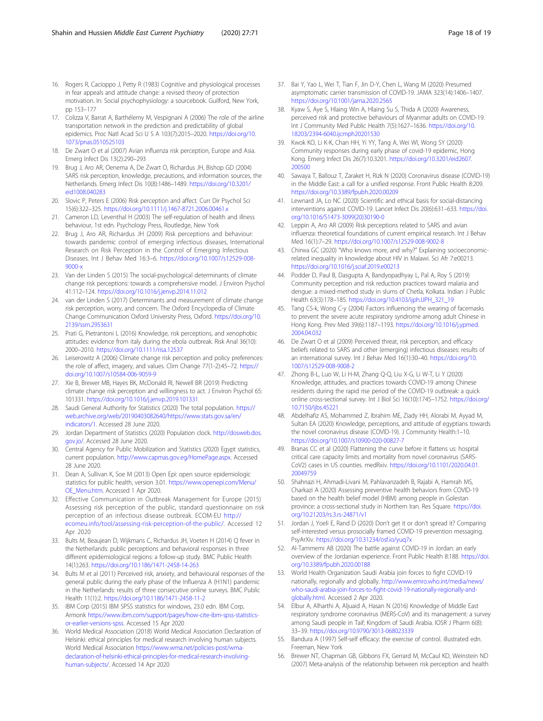- <span id="page-17-0"></span>16. Rogers R, Cacioppo J, Petty R (1983) Cognitive and physiological processes in fear appeals and attitude change: a revised theory of protection motivation. In: Social psychophysiology: a sourcebook. Guilford, New York, pp 153–177
- 17. Colizza V, Barrat A, Barthélemy M, Vespignani A (2006) The role of the airline transportation network in the prediction and predictability of global epidemics. Proc Natl Acad Sci U S A 103(7):2015–2020. [https://doi.org/10.](https://doi.org/10.1073/pnas.0510525103) [1073/pnas.0510525103](https://doi.org/10.1073/pnas.0510525103)
- 18. De Zwart O et al (2007) Avian influenza risk perception, Europe and Asia. Emerg Infect Dis 13(2):290–293
- 19. Brug J, Aro AR, Oenema A, De Zwart O, Richardus JH, Bishop GD (2004) SARS risk perception, knowledge, precautions, and information sources, the Netherlands. Emerg Infect Dis 10(8):1486–1489. [https://doi.org/10.3201/](https://doi.org/10.3201/eid1008.040283) [eid1008.040283](https://doi.org/10.3201/eid1008.040283)
- 20. Slovic P, Peters E (2006) Risk perception and affect. Curr Dir Psychol Sci 15(6):322–325. <https://doi.org/10.1111/j.1467-8721.2006.00461.x>
- 21. Cameron LD, Leventhal H (2003) The self-regulation of health and illness behaviour, 1st edn. Psychology Press, Routledge, New York
- 22. Brug J, Aro AR, Richardus JH (2009) Risk perceptions and behaviour: towards pandemic control of emerging infectious diseases, International Research on Risk Perception in the Control of Emerging Infectious Diseases. Int J Behav Med 16:3–6. [https://doi.org/10.1007/s12529-008-](https://doi.org/10.1007/s12529-008-9000-x) [9000-x](https://doi.org/10.1007/s12529-008-9000-x)
- 23. Van der Linden S (2015) The social-psychological determinants of climate change risk perceptions: towards a comprehensive model. J Environ Psychol 41:112–124. <https://doi.org/10.1016/j.jenvp.2014.11.012>
- 24. van der Linden S (2017) Determinants and measurement of climate change risk perception, worry, and concern. The Oxford Encyclopedia of Climate Change Communication Oxford University Press, Oxford. [https://doi.org/10.](https://doi.org/10.2139/ssrn.2953631) [2139/ssrn.2953631](https://doi.org/10.2139/ssrn.2953631)
- 25. Prati G, Pietrantoni L (2016) Knowledge, risk perceptions, and xenophobic attitudes: evidence from italy during the ebola outbreak. Risk Anal 36(10): 2000–2010. <https://doi.org/10.1111/risa.12537>
- 26. Leiserowitz A (2006) Climate change risk perception and policy preferences: the role of affect, imagery, and values. Clim Change 77(1-2):45–72. [https://](https://doi.org/10.1007/s10584-006-9059-9) [doi.org/10.1007/s10584-006-9059-9](https://doi.org/10.1007/s10584-006-9059-9)
- 27. Xie B, Brewer MB, Hayes BK, McDonald RI, Newell BR (2019) Predicting climate change risk perception and willingness to act. J Environ Psychol 65: 101331. <https://doi.org/10.1016/j.jenvp.2019.101331>
- 28. Saudi General Authority for Statistics (2020) The total population. [https://](https://web.archive.org/web/20190403082640/https://www.stats.gov.sa/en/indicators/1) [web.archive.org/web/20190403082640/https://www.stats.gov.sa/en/](https://web.archive.org/web/20190403082640/https://www.stats.gov.sa/en/indicators/1) [indicators/1](https://web.archive.org/web/20190403082640/https://www.stats.gov.sa/en/indicators/1). Accessed 28 June 2020.
- 29. Jordan Department of Statistics (2020) Population clock. [http://dosweb.dos.](http://dosweb.dos.gov.jo/) [gov.jo/](http://dosweb.dos.gov.jo/). Accessed 28 June 2020.
- 30. Central Agency for Public Mobilization and Statistics (2020) Egypt statistics, current population. <http://www.capmas.gov.eg/HomePage.aspx>. Accessed 28 June 2020.
- 31. Dean A, Sullivan K, Soe M (2013) Open Epi: open source epidemiologic statistics for public health, version 3.01. [https://www.openepi.com/Menu/](https://www.openepi.com/Menu/OE_Menu.htm) OE Menu.htm. Accessed 1 Apr 2020.
- 32. Effective Communication in Outbreak Management for Europe (2015) Assessing risk perception of the public, standard questionnaire on risk perception of an infectious disease outbreak. ECOM-EU [http://](http://ecomeu.info/tool/assessing-risk-perception-of-the-public/) [ecomeu.info/tool/assessing-risk-perception-of-the-public/](http://ecomeu.info/tool/assessing-risk-perception-of-the-public/). Accessed 12 Apr 2020
- 33. Bults M, Beaujean D, Wijkmans C, Richardus JH, Voeten H (2014) Q fever in the Netherlands: public perceptions and behavioral responses in three different epidemiological regions: a follow-up study. BMC Public Health 14(1):263. <https://doi.org/10.1186/1471-2458-14-263>
- 34. Bults M et al (2011) Perceived risk, anxiety, and behavioural responses of the general public during the early phase of the Influenza A (H1N1) pandemic in the Netherlands: results of three consecutive online surveys. BMC Public Health 11(1):2. <https://doi.org/10.1186/1471-2458-11-2>
- 35. IBM Corp (2015) IBM SPSS statistics for windows, 23.0 edn. IBM Corp, Armonk [https://www.ibm.com/support/pages/how-cite-ibm-spss-statistics](https://www.ibm.com/support/pages/how-cite-ibm-spss-statistics-or-earlier-versions-spss)[or-earlier-versions-spss](https://www.ibm.com/support/pages/how-cite-ibm-spss-statistics-or-earlier-versions-spss). Accessed 15 Apr 2020
- 36. World Medical Association (2018) World Medical Association Declaration of Helsinki: ethical principles for medical research involving human subjects. World Medical Association [https://www.wma.net/policies-post/wma](https://www.wma.net/policies-post/wma-declaration-of-helsinki-ethical-principles-for-medical-research-involving-human-subjects/)[declaration-of-helsinki-ethical-principles-for-medical-research-involving](https://www.wma.net/policies-post/wma-declaration-of-helsinki-ethical-principles-for-medical-research-involving-human-subjects/)[human-subjects/](https://www.wma.net/policies-post/wma-declaration-of-helsinki-ethical-principles-for-medical-research-involving-human-subjects/). Accessed 14 Apr 2020
- 37. Bai Y, Yao L, Wei T, Tian F, Jin D-Y, Chen L, Wang M (2020) Presumed asymptomatic carrier transmission of COVID-19. JAMA 323(14):1406–1407. <https://doi.org/10.1001/jama.2020.2565>
- 38. Kyaw S, Aye S, Hlaing Win A, Hlaing Su S, Thida A (2020) Awareness, perceived risk and protective behaviours of Myanmar adults on COVID-19. Int J Community Med Public Health 7(5):1627–1636. [https://doi.org/10.](https://doi.org/10.18203/2394-6040.ijcmph20201530) [18203/2394-6040.ijcmph20201530](https://doi.org/10.18203/2394-6040.ijcmph20201530)
- 39. Kwok KO, Li K-K, Chan HH, Yi YY, Tang A, Wei WI, Wong SY (2020) Community responses during early phase of covid-19 epidemic, Hong Kong. Emerg Infect Dis 26(7):10.3201. [https://doi.org/10.3201/eid2607.](https://doi.org/10.3201/eid2607.200500) [200500](https://doi.org/10.3201/eid2607.200500)
- 40. Sawaya T, Ballouz T, Zaraket H, Rizk N (2020) Coronavirus disease (COVID-19) in the Middle East: a call for a unified response. Front Public Health 8:209. <https://doi.org/10.3389/fpubh.2020.00209>
- 41. Lewnard JA, Lo NC (2020) Scientific and ethical basis for social-distancing interventions against COVID-19. Lancet Infect Dis 20(6):631–633. [https://doi.](https://doi.org/10.1016/S1473-3099(20)30190-0) [org/10.1016/S1473-3099\(20\)30190-0](https://doi.org/10.1016/S1473-3099(20)30190-0)
- 42. Leppin A, Aro AR (2009) Risk perceptions related to SARS and avian influenza: theoretical foundations of current empirical research. Int J Behav Med 16(1):7–29. <https://doi.org/10.1007/s12529-008-9002-8>
- 43. Chirwa GC (2020) "Who knows more, and why?" Explaining socioeconomicrelated inequality in knowledge about HIV in Malawi. Sci Afr 7:e00213. <https://doi.org/10.1016/j.sciaf.2019.e00213>
- 44. Podder D, Paul B, Dasgupta A, Bandyopadhyay L, Pal A, Roy S (2019) Community perception and risk reduction practices toward malaria and dengue: a mixed-method study in slums of Chetla, Kolkata. Indian J Public Health 63(3):178–185. [https://doi.org/10.4103/ijph.IJPH\\_321\\_19](https://doi.org/10.4103/ijph.IJPH_321_19)
- 45. Tang CS-k, Wong C-y (2004) Factors influencing the wearing of facemasks to prevent the severe acute respiratory syndrome among adult Chinese in Hong Kong. Prev Med 39(6):1187–1193. [https://doi.org/10.1016/j.ypmed.](https://doi.org/10.1016/j.ypmed.2004.04.032) [2004.04.032](https://doi.org/10.1016/j.ypmed.2004.04.032)
- 46. De Zwart O et al (2009) Perceived threat, risk perception, and efficacy beliefs related to SARS and other (emerging) infectious diseases: results of an international survey. Int J Behav Med 16(1):30–40. [https://doi.org/10.](https://doi.org/10.1007/s12529-008-9008-2) [1007/s12529-008-9008-2](https://doi.org/10.1007/s12529-008-9008-2)
- 47. Zhong B-L, Luo W, Li H-M, Zhang Q-Q, Liu X-G, Li W-T, Li Y (2020) Knowledge, attitudes, and practices towards COVID-19 among Chinese residents during the rapid rise period of the COVID-19 outbreak: a quick online cross-sectional survey. Int J Biol Sci 16(10):1745–1752. [https://doi.org/](https://doi.org/10.7150/ijbs.45221) [10.7150/ijbs.45221](https://doi.org/10.7150/ijbs.45221)
- 48. Abdelhafiz AS, Mohammed Z, Ibrahim ME, Ziady HH, Alorabi M, Ayyad M, Sultan EA (2020) Knowledge, perceptions, and attitude of egyptians towards the novel coronavirus disease (COVID-19). J Community Health:1–10. <https://doi.org/10.1007/s10900-020-00827-7>
- 49. Branas CC et al (2020) Flattening the curve before it flattens us: hospital critical care capacity limits and mortality from novel coronavirus (SARS-CoV2) cases in US counties. medRxiv. [https://doi.org/10.1101/2020.04.01.](https://doi.org/10.1101/2020.04.01.20049759) [20049759](https://doi.org/10.1101/2020.04.01.20049759)
- 50. Shahnazi H, Ahmadi-Livani M, Pahlavanzadeh B, Rajabi A, Hamrah MS, Charkazi A (2020) Assessing preventive health behaviors from COVID-19 based on the health belief model (HBM) among people in Golestan province: a cross-sectional study in Northern Iran. Res Square. [https://doi.](https://doi.org/10.21203/rs.3.rs-24871/v1) [org/10.21203/rs.3.rs-24871/v1](https://doi.org/10.21203/rs.3.rs-24871/v1)
- 51. Jordan J, Yoeli E, Rand D (2020) Don't get it or don't spread it? Comparing self-interested versus prosocially framed COVID-19 prevention messaging. PsyArXiv. <https://doi.org/10.31234/osf.io/yuq7x>
- 52. Al-Tammemi AB (2020) The battle against COVID-19 in Jordan: an early overview of the Jordanian experience. Front Public Health 8:188. [https://doi.](https://doi.org/10.3389/fpubh.2020.00188) [org/10.3389/fpubh.2020.00188](https://doi.org/10.3389/fpubh.2020.00188)
- 53. World Health Organization Saudi Arabia join forces to fight COVID-19 nationally, regionally and globally. [http://www.emro.who.int/media/news/](http://www.emro.who.int/media/news/who-saudi-arabia-join-forces-to-fight-covid-19-nationally-regionally-and-globally.html) [who-saudi-arabia-join-forces-to-fight-covid-19-nationally-regionally-and](http://www.emro.who.int/media/news/who-saudi-arabia-join-forces-to-fight-covid-19-nationally-regionally-and-globally.html)[globally.html](http://www.emro.who.int/media/news/who-saudi-arabia-join-forces-to-fight-covid-19-nationally-regionally-and-globally.html). Accessed 2 Apr 2020.
- 54. Elbur A, Alharthi A, Aljuaid A, Hasan N (2016) Knowledge of Middle East respiratory syndrome coronavirus (MERS-CoV) and its management: a survey among Saudi people in Taif; Kingdom of Saudi Arabia. IOSR J Pharm 6(8): 33–39. <https://doi.org/10.9790/3013-068023339>
- 55. Bandura A (1997) Self-self efficacy: the exercise of control. illustrated edn. Freeman, New York
- 56. Brewer NT, Chapman GB, Gibbons FX, Gerrard M, McCaul KD, Weinstein ND (2007) Meta-analysis of the relationship between risk perception and health